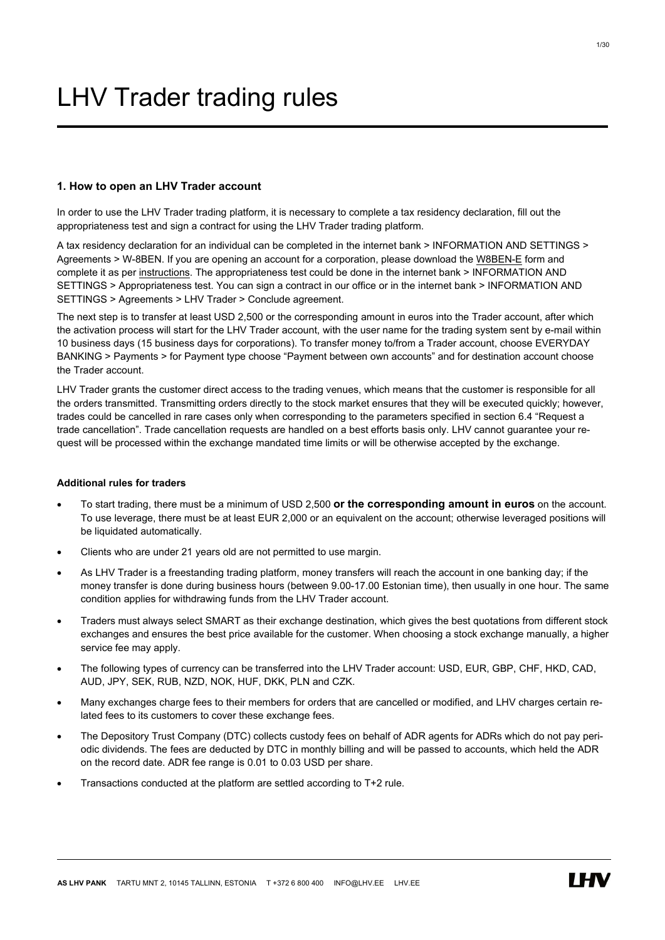# LHV Trader trading rules

# 1. How to open an LHV Trader account

In order to use the LHV Trader trading platform, it is necessary to complete a tax residency declaration, fill out the appropriateness test and sign a contract for using the LHV Trader trading platform.

A tax residency declaration for an individual can be completed in the internet bank > INFORMATION AND SETTINGS > Agreements > W-8BEN. If you are opening an account for a corporation, please download the [W8BEN-E](https://www.lhv.ee/assets/files/forms/W-8BEN-E_form.pdf) form and complete it as per [instructions](https://www.lhv.ee/assets/files/forms/W-8BEN-E_form_example-EN.pdf). The appropriateness test could be done in the internet bank > INFORMATION AND SETTINGS > Appropriateness test. You can sign a contract in our office or in the internet bank > INFORMATION AND SETTINGS > Agreements > LHV Trader > Conclude agreement.

The next step is to transfer at least USD 2,500 or the corresponding amount in euros into the Trader account, after which the activation process will start for the LHV Trader account, with the user name for the trading system sent by e-mail within 10 business days (15 business days for corporations). To transfer money to/from a Trader account, choose EVERYDAY BANKING > Payments > for Payment type choose "Payment between own accounts" and for destination account choose the Trader account.

LHV Trader grants the customer direct access to the trading venues, which means that the customer is responsible for all the orders transmitted. Transmitting orders directly to the stock market ensures that they will be executed quickly; however, trades could be cancelled in rare cases only when corresponding to the parameters specified in section 6.4 "Request a trade cancellation". Trade cancellation requests are handled on a best efforts basis only. LHV cannot guarantee your request will be processed within the exchange mandated time limits or will be otherwise accepted by the exchange.

# Additional rules for traders

- To start trading, there must be a minimum of USD 2,500 or the corresponding amount in euros on the account. To use leverage, there must be at least EUR 2,000 or an equivalent on the account; otherwise leveraged positions will be liquidated automatically.
- Clients who are under 21 years old are not permitted to use margin.
- As LHV Trader is a freestanding trading platform, money transfers will reach the account in one banking day; if the money transfer is done during business hours (between 9.00-17.00 Estonian time), then usually in one hour. The same condition applies for withdrawing funds from the LHV Trader account.
- Traders must always select SMART as their exchange destination, which gives the best quotations from different stock exchanges and ensures the best price available for the customer. When choosing a stock exchange manually, a higher service fee may apply.
- The following types of currency can be transferred into the LHV Trader account: USD, EUR, GBP, CHF, HKD, CAD, AUD, JPY, SEK, RUB, NZD, NOK, HUF, DKK, PLN and CZK.
- Many exchanges charge fees to their members for orders that are cancelled or modified, and LHV charges certain related fees to its customers to cover these exchange fees.
- The Depository Trust Company (DTC) collects custody fees on behalf of ADR agents for ADRs which do not pay periodic dividends. The fees are deducted by DTC in monthly billing and will be passed to accounts, which held the ADR on the record date. ADR fee range is 0.01 to 0.03 USD per share.
- Transactions conducted at the platform are settled according to T+2 rule.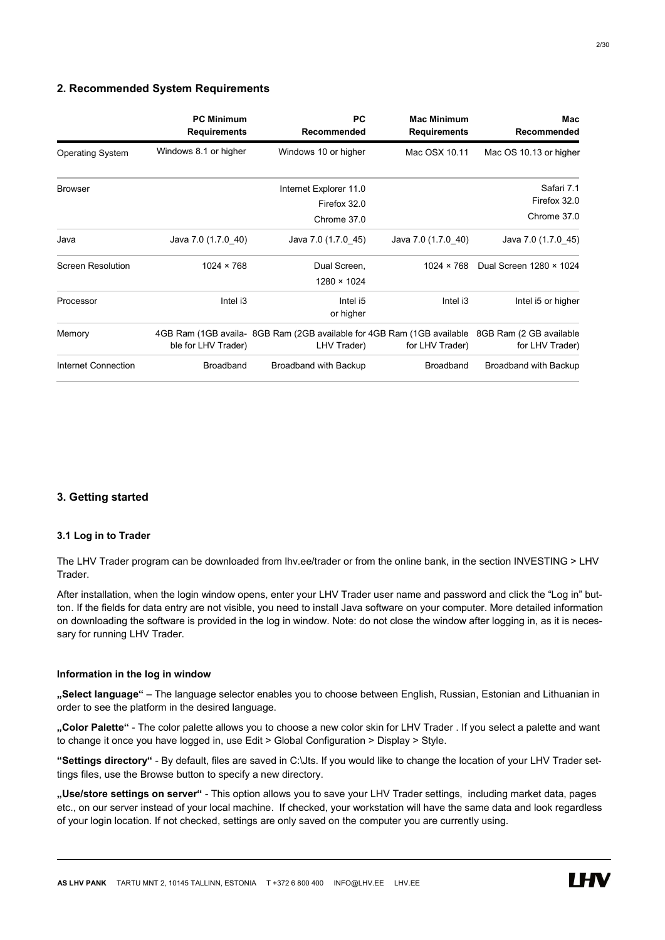# 2. Recommended System Requirements

|                          | <b>PC Minimum</b><br><b>Requirements</b> | <b>PC</b><br>Recommended                                                              | <b>Mac Minimum</b><br><b>Requirements</b> | Mac<br>Recommended                         |
|--------------------------|------------------------------------------|---------------------------------------------------------------------------------------|-------------------------------------------|--------------------------------------------|
| <b>Operating System</b>  | Windows 8.1 or higher                    | Windows 10 or higher                                                                  | Mac OSX 10.11                             | Mac OS 10.13 or higher                     |
| <b>Browser</b>           |                                          | Internet Explorer 11.0                                                                |                                           | Safari 7.1<br>Firefox 32.0                 |
|                          |                                          | Firefox 32.0<br>Chrome 37.0                                                           |                                           | Chrome 37.0                                |
| Java                     | Java 7.0 (1.7.0_40)                      | Java 7.0 (1.7.0 45)                                                                   | Java 7.0 (1.7.0 40)                       | Java 7.0 (1.7.0_45)                        |
| <b>Screen Resolution</b> | $1024 \times 768$                        | Dual Screen,<br>$1280 \times 1024$                                                    | $1024 \times 768$                         | Dual Screen 1280 × 1024                    |
| Processor                | Intel i3                                 | Intel i5<br>or higher                                                                 | Intel i3                                  | Intel i5 or higher                         |
| Memory                   | ble for LHV Trader)                      | 4GB Ram (1GB availa- 8GB Ram (2GB available for 4GB Ram (1GB available<br>LHV Trader) | for LHV Trader)                           | 8GB Ram (2 GB available<br>for LHV Trader) |
| Internet Connection      | <b>Broadband</b>                         | Broadband with Backup                                                                 | <b>Broadband</b>                          | Broadband with Backup                      |

# 3. Getting started

# 3.1 Log in to Trader

The LHV Trader program can be downloaded from lhv.ee/trader or from the online bank, in the section INVESTING > LHV Trader.

After installation, when the login window opens, enter your LHV Trader user name and password and click the "Log in" button. If the fields for data entry are not visible, you need to install Java software on your computer. More detailed information on downloading the software is provided in the log in window. Note: do not close the window after logging in, as it is necessary for running LHV Trader.

# Information in the log in window

"Select language" – The language selector enables you to choose between English, Russian, Estonian and Lithuanian in order to see the platform in the desired language.

"Color Palette" - The color palette allows you to choose a new color skin for LHV Trader . If you select a palette and want to change it once you have logged in, use Edit > Global Configuration > Display > Style.

"Settings directory" - By default, files are saved in C:\Jts. If you would like to change the location of your LHV Trader settings files, use the Browse button to specify a new directory.

"Use/store settings on server" - This option allows you to save your LHV Trader settings, including market data, pages etc., on our server instead of your local machine. If checked, your workstation will have the same data and look regardless of your login location. If not checked, settings are only saved on the computer you are currently using.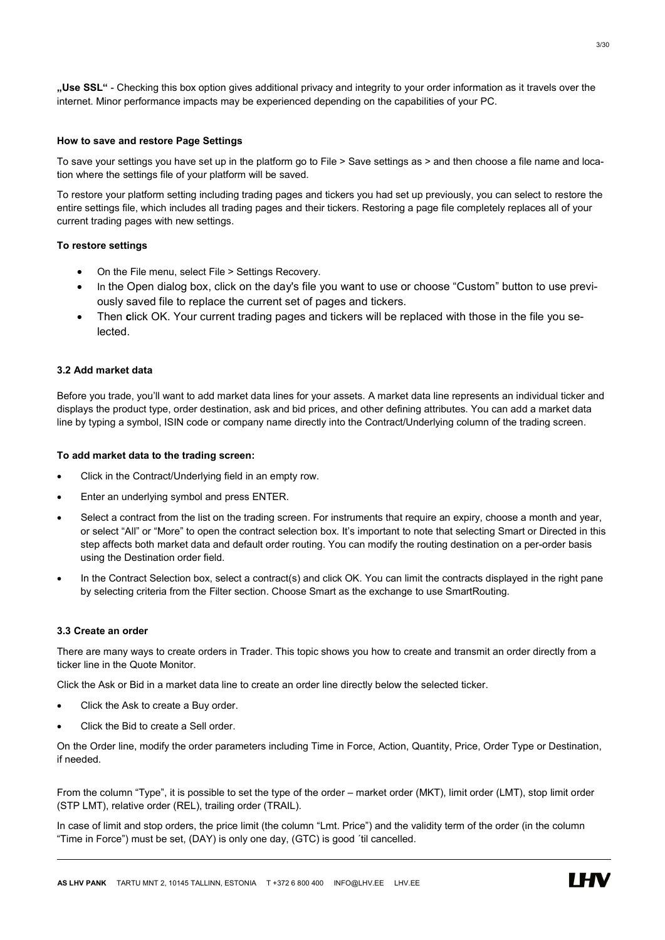..Use SSL" - Checking this box option gives additional privacy and integrity to your order information as it travels over the internet. Minor performance impacts may be experienced depending on the capabilities of your PC.

# How to save and restore Page Settings

To save your settings you have set up in the platform go to File > Save settings as > and then choose a file name and location where the settings file of your platform will be saved.

To restore your platform setting including trading pages and tickers you had set up previously, you can select to restore the entire settings file, which includes all trading pages and their tickers. Restoring a page file completely replaces all of your current trading pages with new settings.

# To restore settings

- On the File menu, select File > Settings Recovery.
- In the Open dialog box, click on the day's file you want to use or choose "Custom" button to use previously saved file to replace the current set of pages and tickers.
- Then click OK. Your current trading pages and tickers will be replaced with those in the file you selected.

#### 3.2 Add market data

Before you trade, you'll want to add market data lines for your assets. A market data line represents an individual ticker and displays the product type, order destination, ask and bid prices, and other defining attributes. You can add a market data line by typing a symbol, ISIN code or company name directly into the Contract/Underlying column of the trading screen.

#### To add market data to the trading screen:

- Click in the Contract/Underlying field in an empty row.
- Enter an underlying symbol and press ENTER.
- Select a contract from the list on the trading screen. For instruments that require an expiry, choose a month and year, or select "All" or "More" to open the contract selection box. It's important to note that selecting Smart or Directed in this step affects both market data and default order routing. You can modify the routing destination on a per-order basis using the Destination order field.
- In the Contract Selection box, select a contract(s) and click OK. You can limit the contracts displayed in the right pane by selecting criteria from the Filter section. Choose Smart as the exchange to use SmartRouting.

# 3.3 Create an order

There are many ways to create orders in Trader. This topic shows you how to create and transmit an order directly from a ticker line in the Quote Monitor.

Click the Ask or Bid in a market data line to create an order line directly below the selected ticker.

- Click the Ask to create a Buy order.
- Click the Bid to create a Sell order.

On the Order line, modify the order parameters including Time in Force, Action, Quantity, Price, Order Type or Destination, if needed.

From the column "Type", it is possible to set the type of the order – market order (MKT), limit order (LMT), stop limit order (STP LMT), relative order (REL), trailing order (TRAIL).

In case of limit and stop orders, the price limit (the column "Lmt. Price") and the validity term of the order (in the column "Time in Force") must be set, (DAY) is only one day, (GTC) is good ´til cancelled.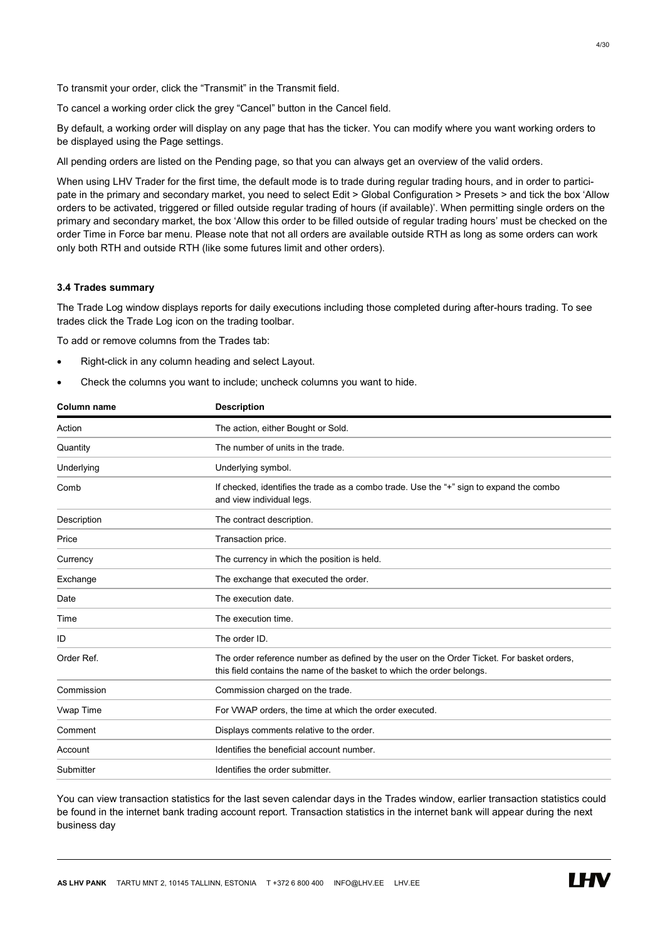To transmit your order, click the "Transmit" in the Transmit field.

To cancel a working order click the grey "Cancel" button in the Cancel field.

By default, a working order will display on any page that has the ticker. You can modify where you want working orders to be displayed using the Page settings.

All pending orders are listed on the Pending page, so that you can always get an overview of the valid orders.

When using LHV Trader for the first time, the default mode is to trade during regular trading hours, and in order to participate in the primary and secondary market, you need to select Edit > Global Configuration > Presets > and tick the box 'Allow orders to be activated, triggered or filled outside regular trading of hours (if available)'. When permitting single orders on the primary and secondary market, the box 'Allow this order to be filled outside of regular trading hours' must be checked on the order Time in Force bar menu. Please note that not all orders are available outside RTH as long as some orders can work only both RTH and outside RTH (like some futures limit and other orders).

# 3.4 Trades summary

The Trade Log window displays reports for daily executions including those completed during after-hours trading. To see trades click the Trade Log icon on the trading toolbar.

To add or remove columns from the Trades tab:

- Right-click in any column heading and select Layout.
- Check the columns you want to include; uncheck columns you want to hide.

| <b>Column name</b> | <b>Description</b>                                                                                                                                                  |
|--------------------|---------------------------------------------------------------------------------------------------------------------------------------------------------------------|
| Action             | The action, either Bought or Sold.                                                                                                                                  |
| Quantity           | The number of units in the trade.                                                                                                                                   |
| Underlying         | Underlying symbol.                                                                                                                                                  |
| Comb               | If checked, identifies the trade as a combo trade. Use the "+" sign to expand the combo<br>and view individual legs.                                                |
| Description        | The contract description.                                                                                                                                           |
| Price              | Transaction price.                                                                                                                                                  |
| Currency           | The currency in which the position is held.                                                                                                                         |
| Exchange           | The exchange that executed the order.                                                                                                                               |
| Date               | The execution date.                                                                                                                                                 |
| Time               | The execution time.                                                                                                                                                 |
| ID                 | The order ID.                                                                                                                                                       |
| Order Ref.         | The order reference number as defined by the user on the Order Ticket. For basket orders,<br>this field contains the name of the basket to which the order belongs. |
| Commission         | Commission charged on the trade.                                                                                                                                    |
| Vwap Time          | For VWAP orders, the time at which the order executed.                                                                                                              |
| Comment            | Displays comments relative to the order.                                                                                                                            |
| Account            | Identifies the beneficial account number.                                                                                                                           |
| Submitter          | Identifies the order submitter.                                                                                                                                     |

You can view transaction statistics for the last seven calendar days in the Trades window, earlier transaction statistics could be found in the internet bank trading account report. Transaction statistics in the internet bank will appear during the next business day

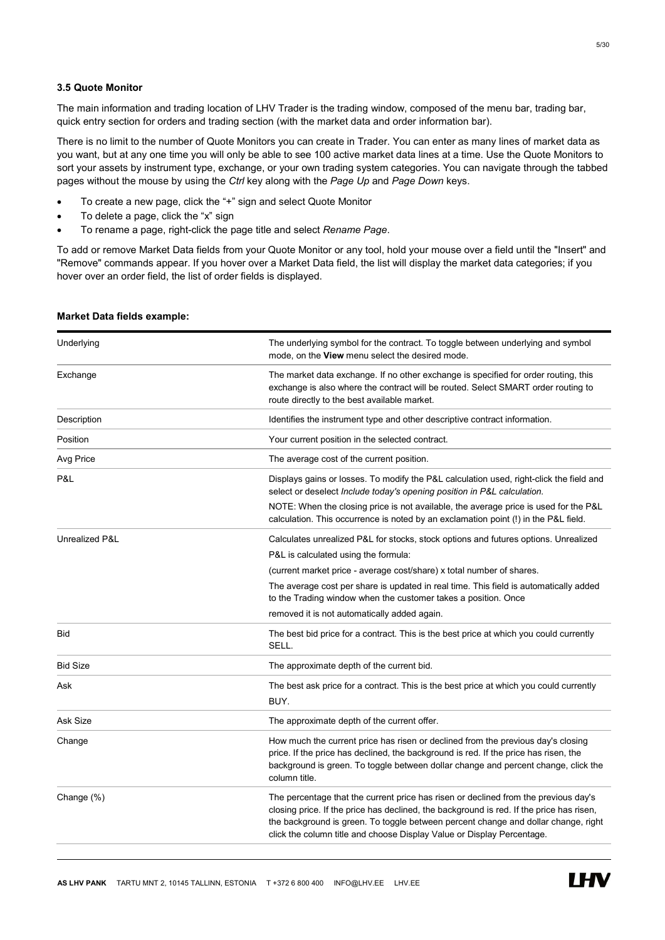# 3.5 Quote Monitor

The main information and trading location of LHV Trader is the trading window, composed of the menu bar, trading bar, quick entry section for orders and trading section (with the market data and order information bar).

There is no limit to the number of Quote Monitors you can create in Trader. You can enter as many lines of market data as you want, but at any one time you will only be able to see 100 active market data lines at a time. Use the Quote Monitors to sort your assets by instrument type, exchange, or your own trading system categories. You can navigate through the tabbed pages without the mouse by using the Ctrl key along with the Page Up and Page Down keys.

- To create a new page, click the "+" sign and select Quote Monitor
- To delete a page, click the "x" sign
- To rename a page, right-click the page title and select Rename Page.

To add or remove Market Data fields from your Quote Monitor or any tool, hold your mouse over a field until the "Insert" and "Remove" commands appear. If you hover over a Market Data field, the list will display the market data categories; if you hover over an order field, the list of order fields is displayed.

| Underlying      | The underlying symbol for the contract. To toggle between underlying and symbol<br>mode, on the View menu select the desired mode.                                                                                                                                                                                                              |
|-----------------|-------------------------------------------------------------------------------------------------------------------------------------------------------------------------------------------------------------------------------------------------------------------------------------------------------------------------------------------------|
| Exchange        | The market data exchange. If no other exchange is specified for order routing, this<br>exchange is also where the contract will be routed. Select SMART order routing to<br>route directly to the best available market.                                                                                                                        |
| Description     | Identifies the instrument type and other descriptive contract information.                                                                                                                                                                                                                                                                      |
| Position        | Your current position in the selected contract.                                                                                                                                                                                                                                                                                                 |
| Avg Price       | The average cost of the current position.                                                                                                                                                                                                                                                                                                       |
| P&L             | Displays gains or losses. To modify the P&L calculation used, right-click the field and<br>select or deselect Include today's opening position in P&L calculation.                                                                                                                                                                              |
|                 | NOTE: When the closing price is not available, the average price is used for the P&L<br>calculation. This occurrence is noted by an exclamation point (!) in the P&L field.                                                                                                                                                                     |
| Unrealized P&L  | Calculates unrealized P&L for stocks, stock options and futures options. Unrealized                                                                                                                                                                                                                                                             |
|                 | P&L is calculated using the formula:                                                                                                                                                                                                                                                                                                            |
|                 | (current market price - average cost/share) x total number of shares.                                                                                                                                                                                                                                                                           |
|                 | The average cost per share is updated in real time. This field is automatically added<br>to the Trading window when the customer takes a position. Once                                                                                                                                                                                         |
|                 | removed it is not automatically added again.                                                                                                                                                                                                                                                                                                    |
| Bid             | The best bid price for a contract. This is the best price at which you could currently<br>SELL.                                                                                                                                                                                                                                                 |
| <b>Bid Size</b> | The approximate depth of the current bid.                                                                                                                                                                                                                                                                                                       |
| Ask             | The best ask price for a contract. This is the best price at which you could currently<br>BUY.                                                                                                                                                                                                                                                  |
| Ask Size        | The approximate depth of the current offer.                                                                                                                                                                                                                                                                                                     |
| Change          | How much the current price has risen or declined from the previous day's closing<br>price. If the price has declined, the background is red. If the price has risen, the<br>background is green. To toggle between dollar change and percent change, click the<br>column title.                                                                 |
| Change (%)      | The percentage that the current price has risen or declined from the previous day's<br>closing price. If the price has declined, the background is red. If the price has risen,<br>the background is green. To toggle between percent change and dollar change, right<br>click the column title and choose Display Value or Display Percentage. |

#### Market Data fields example:

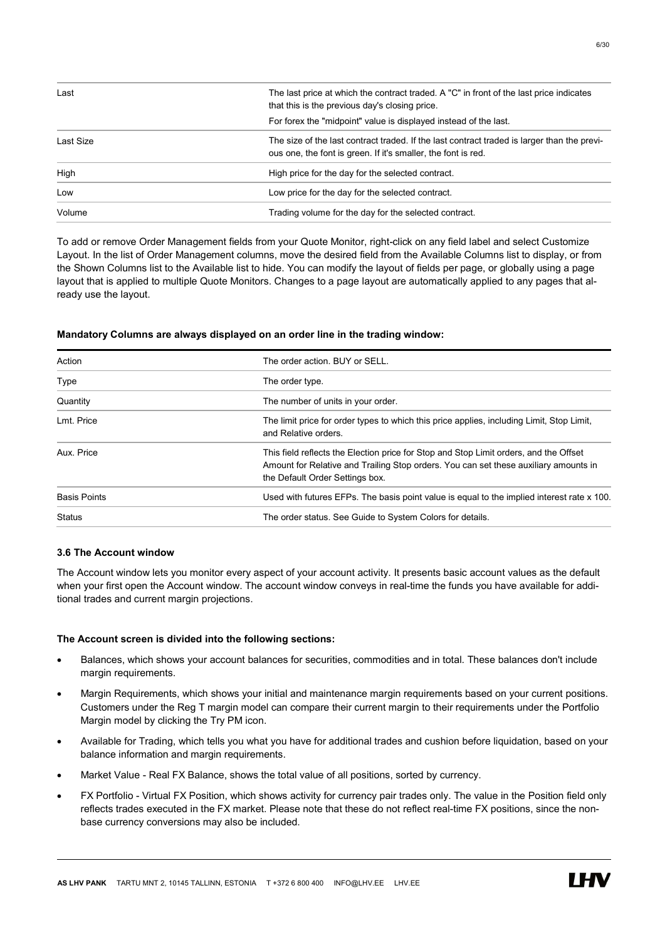| Last      | The last price at which the contract traded. A "C" in front of the last price indicates<br>that this is the previous day's closing price.                    |
|-----------|--------------------------------------------------------------------------------------------------------------------------------------------------------------|
|           | For forex the "midpoint" value is displayed instead of the last.                                                                                             |
| Last Size | The size of the last contract traded. If the last contract traded is larger than the previ-<br>ous one, the font is green. If it's smaller, the font is red. |
| High      | High price for the day for the selected contract.                                                                                                            |
| Low       | Low price for the day for the selected contract.                                                                                                             |
| Volume    | Trading volume for the day for the selected contract.                                                                                                        |

To add or remove Order Management fields from your Quote Monitor, right-click on any field label and select Customize Layout. In the list of Order Management columns, move the desired field from the Available Columns list to display, or from the Shown Columns list to the Available list to hide. You can modify the layout of fields per page, or globally using a page layout that is applied to multiple Quote Monitors. Changes to a page layout are automatically applied to any pages that already use the layout.

#### Mandatory Columns are always displayed on an order line in the trading window:

| The order action. BUY or SELL.                                                                                                                                                                                   |
|------------------------------------------------------------------------------------------------------------------------------------------------------------------------------------------------------------------|
| The order type.                                                                                                                                                                                                  |
| The number of units in your order.                                                                                                                                                                               |
| The limit price for order types to which this price applies, including Limit, Stop Limit,<br>and Relative orders.                                                                                                |
| This field reflects the Election price for Stop and Stop Limit orders, and the Offset<br>Amount for Relative and Trailing Stop orders. You can set these auxiliary amounts in<br>the Default Order Settings box. |
| Used with futures EFPs. The basis point value is equal to the implied interest rate x 100.                                                                                                                       |
| The order status. See Guide to System Colors for details.                                                                                                                                                        |
|                                                                                                                                                                                                                  |

# 3.6 The Account window

The Account window lets you monitor every aspect of your account activity. It presents basic account values as the default when your first open the Account window. The account window conveys in real-time the funds you have available for additional trades and current margin projections.

#### The Account screen is divided into the following sections:

- Balances, which shows your account balances for securities, commodities and in total. These balances don't include margin requirements.
- Margin Requirements, which shows your initial and maintenance margin requirements based on your current positions. Customers under the Reg T margin model can compare their current margin to their requirements under the Portfolio Margin model by clicking the Try PM icon.
- Available for Trading, which tells you what you have for additional trades and cushion before liquidation, based on your balance information and margin requirements.
- Market Value Real FX Balance, shows the total value of all positions, sorted by currency.
- FX Portfolio Virtual FX Position, which shows activity for currency pair trades only. The value in the Position field only reflects trades executed in the FX market. Please note that these do not reflect real-time FX positions, since the nonbase currency conversions may also be included.

**IHV**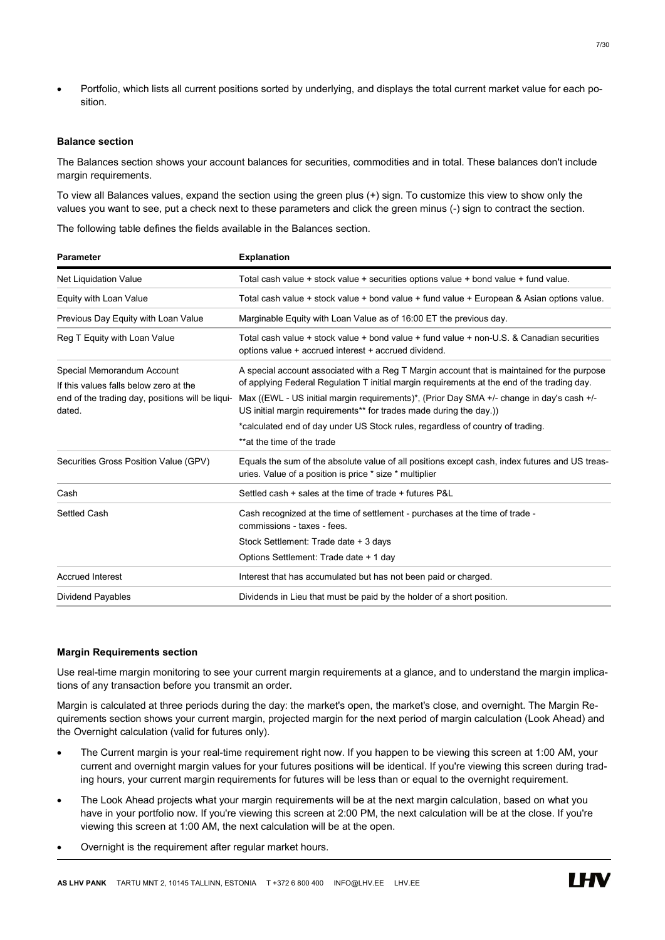Portfolio, which lists all current positions sorted by underlying, and displays the total current market value for each position.

#### Balance section

The Balances section shows your account balances for securities, commodities and in total. These balances don't include margin requirements.

To view all Balances values, expand the section using the green plus (+) sign. To customize this view to show only the values you want to see, put a check next to these parameters and click the green minus (-) sign to contract the section.

The following table defines the fields available in the Balances section.

| <b>Parameter</b>                                           | <b>Explanation</b>                                                                                                                                             |
|------------------------------------------------------------|----------------------------------------------------------------------------------------------------------------------------------------------------------------|
| <b>Net Liquidation Value</b>                               | Total cash value + stock value + securities options value + bond value + fund value.                                                                           |
| Equity with Loan Value                                     | Total cash value + stock value + bond value + fund value + European & Asian options value.                                                                     |
| Previous Day Equity with Loan Value                        | Marginable Equity with Loan Value as of 16:00 ET the previous day.                                                                                             |
| Reg T Equity with Loan Value                               | Total cash value + stock value + bond value + fund value + non-U.S. & Canadian securities<br>options value + accrued interest + accrued dividend.              |
| Special Memorandum Account                                 | A special account associated with a Reg T Margin account that is maintained for the purpose                                                                    |
| If this values falls below zero at the                     | of applying Federal Regulation T initial margin requirements at the end of the trading day.                                                                    |
| end of the trading day, positions will be liqui-<br>dated. | Max ((EWL - US initial margin requirements)*, (Prior Day SMA +/- change in day's cash +/-<br>US initial margin requirements** for trades made during the day.) |
|                                                            | *calculated end of day under US Stock rules, regardless of country of trading.                                                                                 |
|                                                            | **at the time of the trade                                                                                                                                     |
| Securities Gross Position Value (GPV)                      | Equals the sum of the absolute value of all positions except cash, index futures and US treas-<br>uries. Value of a position is price * size * multiplier      |
| Cash                                                       | Settled cash + sales at the time of trade + futures P&L                                                                                                        |
| Settled Cash                                               | Cash recognized at the time of settlement - purchases at the time of trade -<br>commissions - taxes - fees.                                                    |
|                                                            | Stock Settlement: Trade date + 3 days                                                                                                                          |
|                                                            | Options Settlement: Trade date + 1 day                                                                                                                         |
| <b>Accrued Interest</b>                                    | Interest that has accumulated but has not been paid or charged.                                                                                                |
| <b>Dividend Payables</b>                                   | Dividends in Lieu that must be paid by the holder of a short position.                                                                                         |

# Margin Requirements section

Use real-time margin monitoring to see your current margin requirements at a glance, and to understand the margin implications of any transaction before you transmit an order.

Margin is calculated at three periods during the day: the market's open, the market's close, and overnight. The Margin Requirements section shows your current margin, projected margin for the next period of margin calculation (Look Ahead) and the Overnight calculation (valid for futures only).

- The Current margin is your real-time requirement right now. If you happen to be viewing this screen at 1:00 AM, your current and overnight margin values for your futures positions will be identical. If you're viewing this screen during trading hours, your current margin requirements for futures will be less than or equal to the overnight requirement.
- The Look Ahead projects what your margin requirements will be at the next margin calculation, based on what you have in your portfolio now. If you're viewing this screen at 2:00 PM, the next calculation will be at the close. If you're viewing this screen at 1:00 AM, the next calculation will be at the open.
- Overnight is the requirement after regular market hours.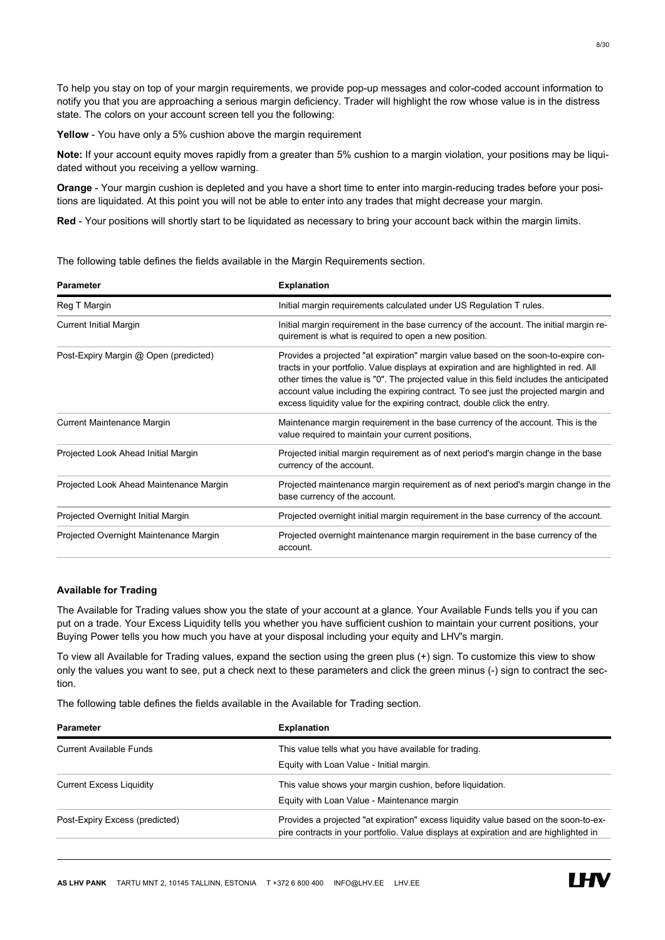To help you stay on top of your margin requirements, we provide pop-up messages and color-coded account information to notify you that you are approaching a serious margin deficiency. Trader will highlight the row whose value is in the distress state. The colors on your account screen tell you the following:

Yellow - You have only a 5% cushion above the margin requirement

Note: If your account equity moves rapidly from a greater than 5% cushion to a margin violation, your positions may be liquidated without you receiving a yellow warning.

Orange - Your margin cushion is depleted and you have a short time to enter into margin-reducing trades before your positions are liquidated. At this point you will not be able to enter into any trades that might decrease your margin.

Red - Your positions will shortly start to be liquidated as necessary to bring your account back within the margin limits.

The following table defines the fields available in the Margin Requirements section.

| <b>Parameter</b>                        | <b>Explanation</b>                                                                                                                                                                                                                                                                                                                                                                                                                           |
|-----------------------------------------|----------------------------------------------------------------------------------------------------------------------------------------------------------------------------------------------------------------------------------------------------------------------------------------------------------------------------------------------------------------------------------------------------------------------------------------------|
| Reg T Margin                            | Initial margin requirements calculated under US Regulation T rules.                                                                                                                                                                                                                                                                                                                                                                          |
| <b>Current Initial Margin</b>           | Initial margin requirement in the base currency of the account. The initial margin re-<br>quirement is what is required to open a new position.                                                                                                                                                                                                                                                                                              |
| Post-Expiry Margin @ Open (predicted)   | Provides a projected "at expiration" margin value based on the soon-to-expire con-<br>tracts in your portfolio. Value displays at expiration and are highlighted in red. All<br>other times the value is "0". The projected value in this field includes the anticipated<br>account value including the expiring contract. To see just the projected margin and<br>excess liquidity value for the expiring contract, double click the entry. |
| <b>Current Maintenance Margin</b>       | Maintenance margin requirement in the base currency of the account. This is the<br>value required to maintain your current positions.                                                                                                                                                                                                                                                                                                        |
| Projected Look Ahead Initial Margin     | Projected initial margin requirement as of next period's margin change in the base<br>currency of the account.                                                                                                                                                                                                                                                                                                                               |
| Projected Look Ahead Maintenance Margin | Projected maintenance margin requirement as of next period's margin change in the<br>base currency of the account.                                                                                                                                                                                                                                                                                                                           |
| Projected Overnight Initial Margin      | Projected overnight initial margin requirement in the base currency of the account.                                                                                                                                                                                                                                                                                                                                                          |
| Projected Overnight Maintenance Margin  | Projected overnight maintenance margin requirement in the base currency of the<br>account.                                                                                                                                                                                                                                                                                                                                                   |

# Available for Trading

The Available for Trading values show you the state of your account at a glance. Your Available Funds tells you if you can put on a trade. Your Excess Liquidity tells you whether you have sufficient cushion to maintain your current positions, your Buying Power tells you how much you have at your disposal including your equity and LHV's margin.

To view all Available for Trading values, expand the section using the green plus (+) sign. To customize this view to show only the values you want to see, put a check next to these parameters and click the green minus (-) sign to contract the section.

The following table defines the fields available in the Available for Trading section.

| <b>Parameter</b>                | <b>Explanation</b>                                                                                                                                                            |
|---------------------------------|-------------------------------------------------------------------------------------------------------------------------------------------------------------------------------|
| <b>Current Available Funds</b>  | This value tells what you have available for trading.                                                                                                                         |
|                                 | Equity with Loan Value - Initial margin.                                                                                                                                      |
| <b>Current Excess Liquidity</b> | This value shows your margin cushion, before liquidation.                                                                                                                     |
|                                 | Equity with Loan Value - Maintenance margin                                                                                                                                   |
| Post-Expiry Excess (predicted)  | Provides a projected "at expiration" excess liquidity value based on the soon-to-ex-<br>pire contracts in your portfolio. Value displays at expiration and are highlighted in |

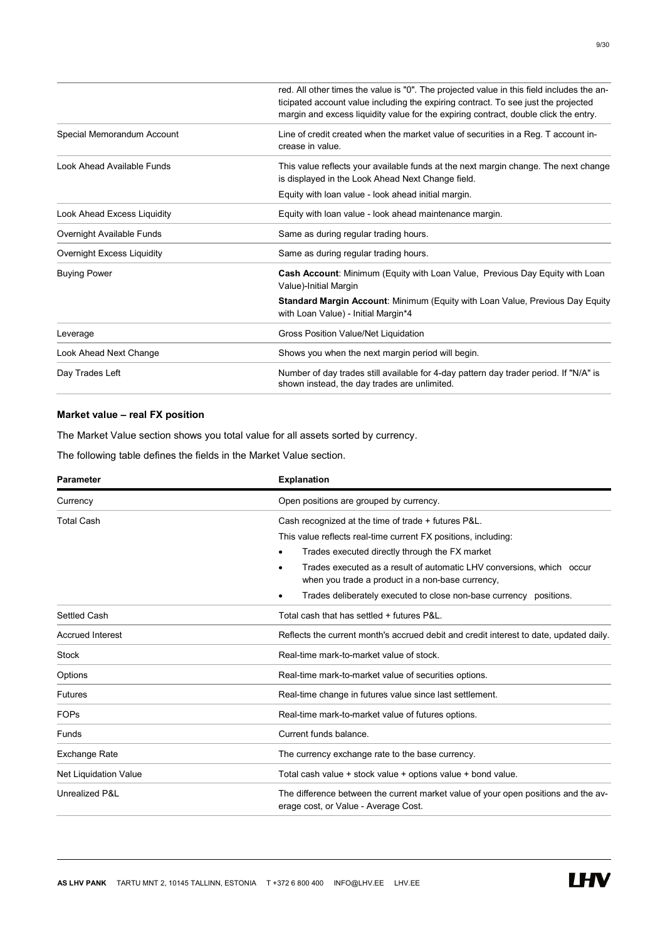|                             | red. All other times the value is "0". The projected value in this field includes the an-<br>ticipated account value including the expiring contract. To see just the projected<br>margin and excess liquidity value for the expiring contract, double click the entry. |
|-----------------------------|-------------------------------------------------------------------------------------------------------------------------------------------------------------------------------------------------------------------------------------------------------------------------|
| Special Memorandum Account  | Line of credit created when the market value of securities in a Reg. T account in-<br>crease in value.                                                                                                                                                                  |
| Look Ahead Available Funds  | This value reflects your available funds at the next margin change. The next change<br>is displayed in the Look Ahead Next Change field.                                                                                                                                |
|                             | Equity with loan value - look ahead initial margin.                                                                                                                                                                                                                     |
| Look Ahead Excess Liquidity | Equity with loan value - look ahead maintenance margin.                                                                                                                                                                                                                 |
| Overnight Available Funds   | Same as during regular trading hours.                                                                                                                                                                                                                                   |
| Overnight Excess Liquidity  | Same as during regular trading hours.                                                                                                                                                                                                                                   |
| <b>Buying Power</b>         | <b>Cash Account:</b> Minimum (Equity with Loan Value, Previous Day Equity with Loan<br>Value)-Initial Margin                                                                                                                                                            |
|                             | <b>Standard Margin Account: Minimum (Equity with Loan Value, Previous Day Equity</b><br>with Loan Value) - Initial Margin*4                                                                                                                                             |
| Leverage                    | Gross Position Value/Net Liquidation                                                                                                                                                                                                                                    |
| Look Ahead Next Change      | Shows you when the next margin period will begin.                                                                                                                                                                                                                       |
| Day Trades Left             | Number of day trades still available for 4-day pattern day trader period. If "N/A" is<br>shown instead, the day trades are unlimited.                                                                                                                                   |

# Market value – real FX position

The Market Value section shows you total value for all assets sorted by currency.

The following table defines the fields in the Market Value section.

| <b>Parameter</b>        | <b>Explanation</b>                                                                                                             |  |
|-------------------------|--------------------------------------------------------------------------------------------------------------------------------|--|
| Currency                | Open positions are grouped by currency.                                                                                        |  |
| <b>Total Cash</b>       | Cash recognized at the time of trade + futures P&L.                                                                            |  |
|                         | This value reflects real-time current FX positions, including:                                                                 |  |
|                         | Trades executed directly through the FX market                                                                                 |  |
|                         | Trades executed as a result of automatic LHV conversions, which occur<br>٠<br>when you trade a product in a non-base currency, |  |
|                         | Trades deliberately executed to close non-base currency positions.                                                             |  |
| Settled Cash            | Total cash that has settled + futures P&L.                                                                                     |  |
| <b>Accrued Interest</b> | Reflects the current month's accrued debit and credit interest to date, updated daily.                                         |  |
| <b>Stock</b>            | Real-time mark-to-market value of stock.                                                                                       |  |
| Options                 | Real-time mark-to-market value of securities options.                                                                          |  |
| <b>Futures</b>          | Real-time change in futures value since last settlement.                                                                       |  |
| <b>FOPs</b>             | Real-time mark-to-market value of futures options.                                                                             |  |
| Funds                   | Current funds balance.                                                                                                         |  |
| Exchange Rate           | The currency exchange rate to the base currency.                                                                               |  |
| Net Liquidation Value   | Total cash value + stock value + options value + bond value.                                                                   |  |
| Unrealized P&L          | The difference between the current market value of your open positions and the av-<br>erage cost, or Value - Average Cost.     |  |

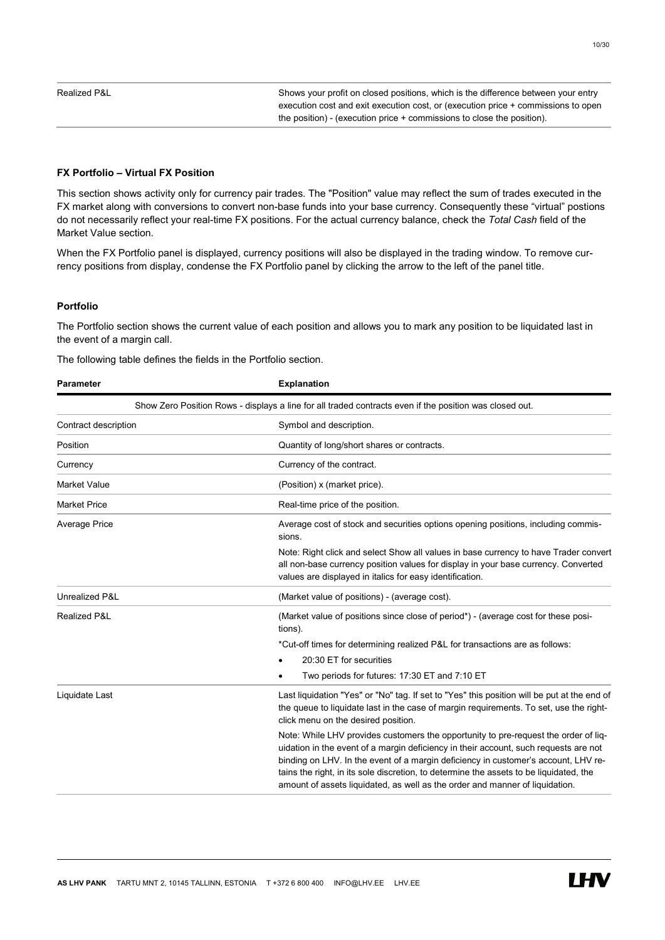Realized P&L Shows your profit on closed positions, which is the difference between your entry execution cost and exit execution cost, or (execution price + commissions to open the position) - (execution price + commissions to close the position).

# FX Portfolio – Virtual FX Position

This section shows activity only for currency pair trades. The "Position" value may reflect the sum of trades executed in the FX market along with conversions to convert non-base funds into your base currency. Consequently these "virtual" postions do not necessarily reflect your real-time FX positions. For the actual currency balance, check the Total Cash field of the Market Value section.

When the FX Portfolio panel is displayed, currency positions will also be displayed in the trading window. To remove currency positions from display, condense the FX Portfolio panel by clicking the arrow to the left of the panel title.

# Portfolio

The Portfolio section shows the current value of each position and allows you to mark any position to be liquidated last in the event of a margin call.

The following table defines the fields in the Portfolio section.

| <b>Parameter</b>     | <b>Explanation</b>                                                                                                                                                                                                                                                                                                                                                                                                                          |
|----------------------|---------------------------------------------------------------------------------------------------------------------------------------------------------------------------------------------------------------------------------------------------------------------------------------------------------------------------------------------------------------------------------------------------------------------------------------------|
|                      | Show Zero Position Rows - displays a line for all traded contracts even if the position was closed out.                                                                                                                                                                                                                                                                                                                                     |
| Contract description | Symbol and description.                                                                                                                                                                                                                                                                                                                                                                                                                     |
| Position             | Quantity of long/short shares or contracts.                                                                                                                                                                                                                                                                                                                                                                                                 |
| Currency             | Currency of the contract.                                                                                                                                                                                                                                                                                                                                                                                                                   |
| <b>Market Value</b>  | (Position) x (market price).                                                                                                                                                                                                                                                                                                                                                                                                                |
| <b>Market Price</b>  | Real-time price of the position.                                                                                                                                                                                                                                                                                                                                                                                                            |
| <b>Average Price</b> | Average cost of stock and securities options opening positions, including commis-<br>sions.                                                                                                                                                                                                                                                                                                                                                 |
|                      | Note: Right click and select Show all values in base currency to have Trader convert<br>all non-base currency position values for display in your base currency. Converted<br>values are displayed in italics for easy identification.                                                                                                                                                                                                      |
| Unrealized P&L       | (Market value of positions) - (average cost).                                                                                                                                                                                                                                                                                                                                                                                               |
| Realized P&L         | (Market value of positions since close of period*) - (average cost for these posi-<br>tions).                                                                                                                                                                                                                                                                                                                                               |
|                      | *Cut-off times for determining realized P&L for transactions are as follows:                                                                                                                                                                                                                                                                                                                                                                |
|                      | 20:30 ET for securities                                                                                                                                                                                                                                                                                                                                                                                                                     |
|                      | Two periods for futures: 17:30 ET and 7:10 ET                                                                                                                                                                                                                                                                                                                                                                                               |
| Liquidate Last       | Last liquidation "Yes" or "No" tag. If set to "Yes" this position will be put at the end of<br>the queue to liquidate last in the case of margin requirements. To set, use the right-<br>click menu on the desired position.                                                                                                                                                                                                                |
|                      | Note: While LHV provides customers the opportunity to pre-request the order of liq-<br>uidation in the event of a margin deficiency in their account, such requests are not<br>binding on LHV. In the event of a margin deficiency in customer's account, LHV re-<br>tains the right, in its sole discretion, to determine the assets to be liquidated, the<br>amount of assets liquidated, as well as the order and manner of liquidation. |

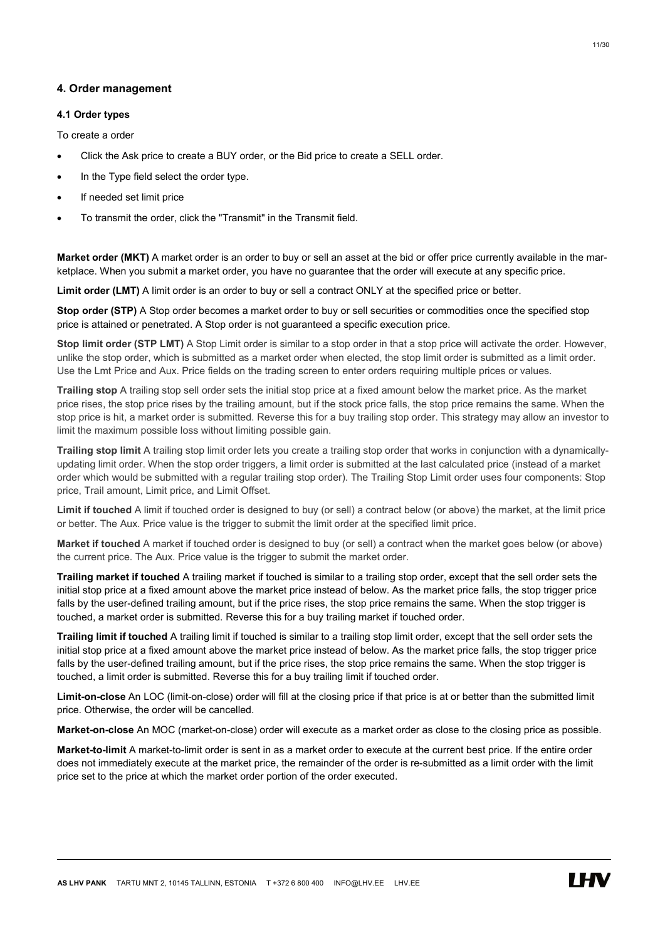# 4. Order management

# 4.1 Order types

To create a order

- Click the Ask price to create a BUY order, or the Bid price to create a SELL order.
- In the Type field select the order type.
- If needed set limit price
- To transmit the order, click the "Transmit" in the Transmit field.

Market order (MKT) A market order is an order to buy or sell an asset at the bid or offer price currently available in the marketplace. When you submit a market order, you have no guarantee that the order will execute at any specific price.

Limit order (LMT) A limit order is an order to buy or sell a contract ONLY at the specified price or better.

Stop order (STP) A Stop order becomes a market order to buy or sell securities or commodities once the specified stop price is attained or penetrated. A Stop order is not guaranteed a specific execution price.

Stop limit order (STP LMT) A Stop Limit order is similar to a stop order in that a stop price will activate the order. However, unlike the stop order, which is submitted as a market order when elected, the stop limit order is submitted as a limit order. Use the Lmt Price and Aux. Price fields on the trading screen to enter orders requiring multiple prices or values.

Trailing stop A trailing stop sell order sets the initial stop price at a fixed amount below the market price. As the market price rises, the stop price rises by the trailing amount, but if the stock price falls, the stop price remains the same. When the stop price is hit, a market order is submitted. Reverse this for a buy trailing stop order. This strategy may allow an investor to limit the maximum possible loss without limiting possible gain.

Trailing stop limit A trailing stop limit order lets you create a trailing stop order that works in conjunction with a dynamicallyupdating limit order. When the stop order triggers, a limit order is submitted at the last calculated price (instead of a market order which would be submitted with a regular trailing stop order). The Trailing Stop Limit order uses four components: Stop price, Trail amount, Limit price, and Limit Offset.

Limit if touched A limit if touched order is designed to buy (or sell) a contract below (or above) the market, at the limit price or better. The Aux. Price value is the trigger to submit the limit order at the specified limit price.

Market if touched A market if touched order is designed to buy (or sell) a contract when the market goes below (or above) the current price. The Aux. Price value is the trigger to submit the market order.

Trailing market if touched A trailing market if touched is similar to a trailing stop order, except that the sell order sets the initial stop price at a fixed amount above the market price instead of below. As the market price falls, the stop trigger price falls by the user-defined trailing amount, but if the price rises, the stop price remains the same. When the stop trigger is touched, a market order is submitted. Reverse this for a buy trailing market if touched order.

Trailing limit if touched A trailing limit if touched is similar to a trailing stop limit order, except that the sell order sets the initial stop price at a fixed amount above the market price instead of below. As the market price falls, the stop trigger price falls by the user-defined trailing amount, but if the price rises, the stop price remains the same. When the stop trigger is touched, a limit order is submitted. Reverse this for a buy trailing limit if touched order.

Limit-on-close An LOC (limit-on-close) order will fill at the closing price if that price is at or better than the submitted limit price. Otherwise, the order will be cancelled.

Market-on-close An MOC (market-on-close) order will execute as a market order as close to the closing price as possible.

Market-to-limit A market-to-limit order is sent in as a market order to execute at the current best price. If the entire order does not immediately execute at the market price, the remainder of the order is re-submitted as a limit order with the limit price set to the price at which the market order portion of the order executed.

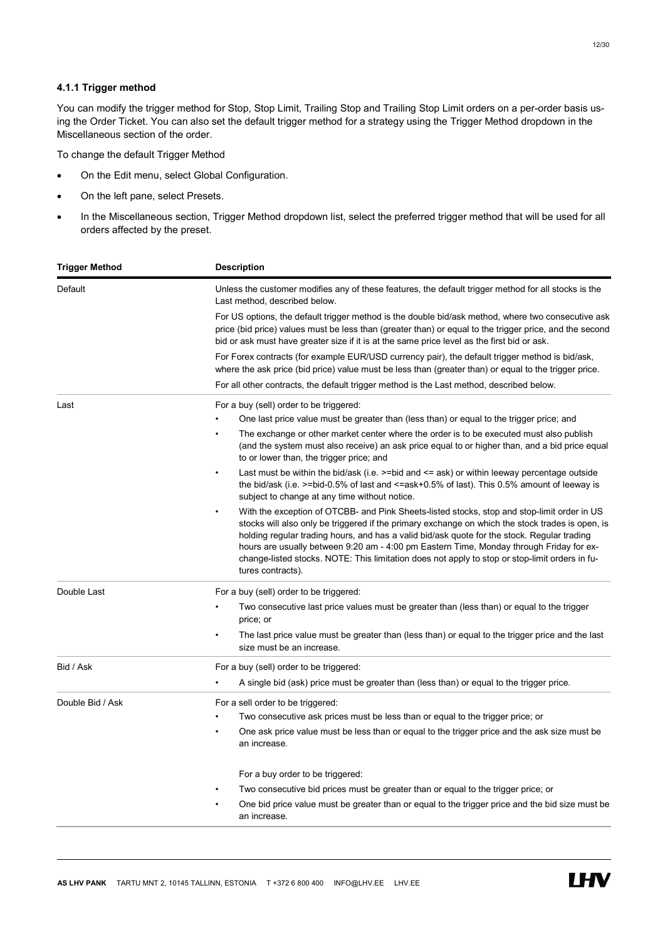# 4.1.1 Trigger method

You can modify the trigger method for Stop, Stop Limit, Trailing Stop and Trailing Stop Limit orders on a per-order basis using the Order Ticket. You can also set the default trigger method for a strategy using the Trigger Method dropdown in the Miscellaneous section of the order.

To change the default Trigger Method

- On the Edit menu, select Global Configuration.
- On the left pane, select Presets.
- . In the Miscellaneous section, Trigger Method dropdown list, select the preferred trigger method that will be used for all orders affected by the preset.

| Trigger Method   | <b>Description</b>                                                                                                                                                                                                                                                                                                                                                                                                                                                                                               |
|------------------|------------------------------------------------------------------------------------------------------------------------------------------------------------------------------------------------------------------------------------------------------------------------------------------------------------------------------------------------------------------------------------------------------------------------------------------------------------------------------------------------------------------|
| Default          | Unless the customer modifies any of these features, the default trigger method for all stocks is the<br>Last method, described below.                                                                                                                                                                                                                                                                                                                                                                            |
|                  | For US options, the default trigger method is the double bid/ask method, where two consecutive ask<br>price (bid price) values must be less than (greater than) or equal to the trigger price, and the second<br>bid or ask must have greater size if it is at the same price level as the first bid or ask.                                                                                                                                                                                                     |
|                  | For Forex contracts (for example EUR/USD currency pair), the default trigger method is bid/ask,<br>where the ask price (bid price) value must be less than (greater than) or equal to the trigger price.                                                                                                                                                                                                                                                                                                         |
|                  | For all other contracts, the default trigger method is the Last method, described below.                                                                                                                                                                                                                                                                                                                                                                                                                         |
| Last             | For a buy (sell) order to be triggered:<br>One last price value must be greater than (less than) or equal to the trigger price; and                                                                                                                                                                                                                                                                                                                                                                              |
|                  | The exchange or other market center where the order is to be executed must also publish<br>(and the system must also receive) an ask price equal to or higher than, and a bid price equal<br>to or lower than, the trigger price; and                                                                                                                                                                                                                                                                            |
|                  | Last must be within the bid/ask (i.e. $\ge$ =bid and $\le$ ask) or within leeway percentage outside<br>the bid/ask (i.e. $>$ =bid-0.5% of last and $\leq$ =ask+0.5% of last). This 0.5% amount of leeway is<br>subject to change at any time without notice.                                                                                                                                                                                                                                                     |
|                  | With the exception of OTCBB- and Pink Sheets-listed stocks, stop and stop-limit order in US<br>stocks will also only be triggered if the primary exchange on which the stock trades is open, is<br>holding regular trading hours, and has a valid bid/ask quote for the stock. Regular trading<br>hours are usually between 9:20 am - 4:00 pm Eastern Time, Monday through Friday for ex-<br>change-listed stocks. NOTE: This limitation does not apply to stop or stop-limit orders in fu-<br>tures contracts). |
| Double Last      | For a buy (sell) order to be triggered:                                                                                                                                                                                                                                                                                                                                                                                                                                                                          |
|                  | Two consecutive last price values must be greater than (less than) or equal to the trigger<br>price; or                                                                                                                                                                                                                                                                                                                                                                                                          |
|                  | The last price value must be greater than (less than) or equal to the trigger price and the last<br>size must be an increase.                                                                                                                                                                                                                                                                                                                                                                                    |
| Bid / Ask        | For a buy (sell) order to be triggered:                                                                                                                                                                                                                                                                                                                                                                                                                                                                          |
|                  | A single bid (ask) price must be greater than (less than) or equal to the trigger price.                                                                                                                                                                                                                                                                                                                                                                                                                         |
| Double Bid / Ask | For a sell order to be triggered:                                                                                                                                                                                                                                                                                                                                                                                                                                                                                |
|                  | Two consecutive ask prices must be less than or equal to the trigger price; or                                                                                                                                                                                                                                                                                                                                                                                                                                   |
|                  | One ask price value must be less than or equal to the trigger price and the ask size must be<br>$\bullet$<br>an increase.                                                                                                                                                                                                                                                                                                                                                                                        |
|                  | For a buy order to be triggered:                                                                                                                                                                                                                                                                                                                                                                                                                                                                                 |
|                  | Two consecutive bid prices must be greater than or equal to the trigger price; or                                                                                                                                                                                                                                                                                                                                                                                                                                |
|                  | One bid price value must be greater than or equal to the trigger price and the bid size must be<br>an increase.                                                                                                                                                                                                                                                                                                                                                                                                  |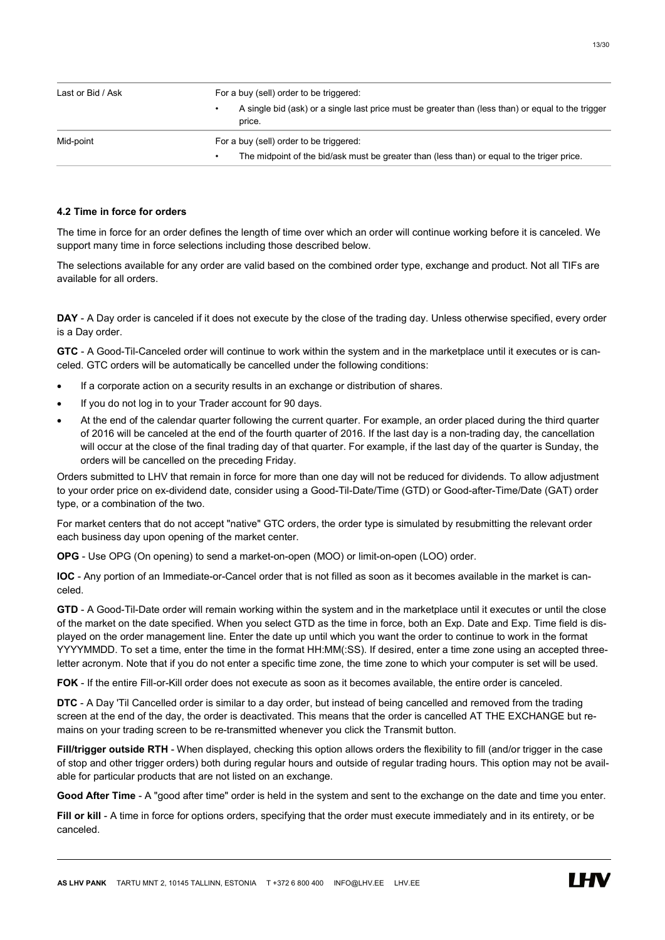| Last or Bid / Ask | For a buy (sell) order to be triggered:                                                                      |
|-------------------|--------------------------------------------------------------------------------------------------------------|
|                   | A single bid (ask) or a single last price must be greater than (less than) or equal to the trigger<br>price. |
| Mid-point         | For a buy (sell) order to be triggered:                                                                      |
|                   | The midpoint of the bid/ask must be greater than (less than) or equal to the triger price.                   |

#### 4.2 Time in force for orders

The time in force for an order defines the length of time over which an order will continue working before it is canceled. We support many time in force selections including those described below.

The selections available for any order are valid based on the combined order type, exchange and product. Not all TIFs are available for all orders.

DAY - A Day order is canceled if it does not execute by the close of the trading day. Unless otherwise specified, every order is a Day order.

GTC - A Good-Til-Canceled order will continue to work within the system and in the marketplace until it executes or is canceled. GTC orders will be automatically be cancelled under the following conditions:

- If a corporate action on a security results in an exchange or distribution of shares.
- If you do not log in to your Trader account for 90 days.
- At the end of the calendar quarter following the current quarter. For example, an order placed during the third quarter of 2016 will be canceled at the end of the fourth quarter of 2016. If the last day is a non-trading day, the cancellation will occur at the close of the final trading day of that quarter. For example, if the last day of the quarter is Sunday, the orders will be cancelled on the preceding Friday.

Orders submitted to LHV that remain in force for more than one day will not be reduced for dividends. To allow adjustment to your order price on ex-dividend date, consider using a Good-Til-Date/Time (GTD) or Good-after-Time/Date (GAT) order type, or a combination of the two.

For market centers that do not accept "native" GTC orders, the order type is simulated by resubmitting the relevant order each business day upon opening of the market center.

OPG - Use OPG (On opening) to send a market-on-open (MOO) or limit-on-open (LOO) order.

IOC - Any portion of an Immediate-or-Cancel order that is not filled as soon as it becomes available in the market is canceled.

GTD - A Good-Til-Date order will remain working within the system and in the marketplace until it executes or until the close of the market on the date specified. When you select GTD as the time in force, both an Exp. Date and Exp. Time field is displayed on the order management line. Enter the date up until which you want the order to continue to work in the format YYYYMMDD. To set a time, enter the time in the format HH:MM(:SS). If desired, enter a time zone using an accepted threeletter acronym. Note that if you do not enter a specific time zone, the time zone to which your computer is set will be used.

FOK - If the entire Fill-or-Kill order does not execute as soon as it becomes available, the entire order is canceled.

DTC - A Day 'Til Cancelled order is similar to a day order, but instead of being cancelled and removed from the trading screen at the end of the day, the order is deactivated. This means that the order is cancelled AT THE EXCHANGE but remains on your trading screen to be re-transmitted whenever you click the Transmit button.

Fill/trigger outside RTH - When displayed, checking this option allows orders the flexibility to fill (and/or trigger in the case of stop and other trigger orders) both during regular hours and outside of regular trading hours. This option may not be available for particular products that are not listed on an exchange.

Good After Time - A "good after time" order is held in the system and sent to the exchange on the date and time you enter.

Fill or kill - A time in force for options orders, specifying that the order must execute immediately and in its entirety, or be canceled.

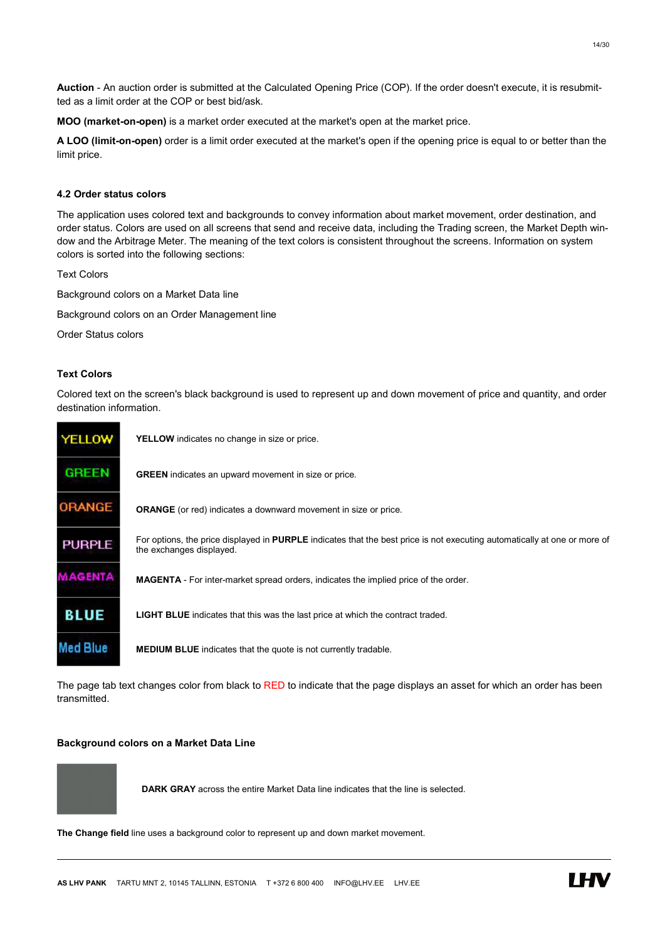Auction - An auction order is submitted at the Calculated Opening Price (COP). If the order doesn't execute, it is resubmitted as a limit order at the COP or best bid/ask.

MOO (market-on-open) is a market order executed at the market's open at the market price.

A LOO (limit-on-open) order is a limit order executed at the market's open if the opening price is equal to or better than the limit price.

# 4.2 Order status colors

The application uses colored text and backgrounds to convey information about market movement, order destination, and order status. Colors are used on all screens that send and receive data, including the Trading screen, the Market Depth window and the Arbitrage Meter. The meaning of the text colors is consistent throughout the screens. Information on system colors is sorted into the following sections:

Text Colors

Background colors on a Market Data line

Background colors on an Order Management line

Order Status colors

# Text Colors

Colored text on the screen's black background is used to represent up and down movement of price and quantity, and order destination information.

| <b>YELLOW</b> | <b>YELLOW</b> indicates no change in size or price.                                                                                                   |
|---------------|-------------------------------------------------------------------------------------------------------------------------------------------------------|
| <b>GREEN</b>  | <b>GREEN</b> indicates an upward movement in size or price.                                                                                           |
| <b>ORANGE</b> | <b>ORANGE</b> (or red) indicates a downward movement in size or price.                                                                                |
| <b>PURPLE</b> | For options, the price displayed in PURPLE indicates that the best price is not executing automatically at one or more of<br>the exchanges displayed. |
| MAGENTA       | <b>MAGENTA</b> - For inter-market spread orders, indicates the implied price of the order.                                                            |
| <b>BLUE</b>   | <b>LIGHT BLUE</b> indicates that this was the last price at which the contract traded.                                                                |
|               | <b>MEDIUM BLUE</b> indicates that the quote is not currently tradable.                                                                                |

The page tab text changes color from black to RED to indicate that the page displays an asset for which an order has been transmitted.

#### Background colors on a Market Data Line

DARK GRAY across the entire Market Data line indicates that the line is selected.

The Change field line uses a background color to represent up and down market movement.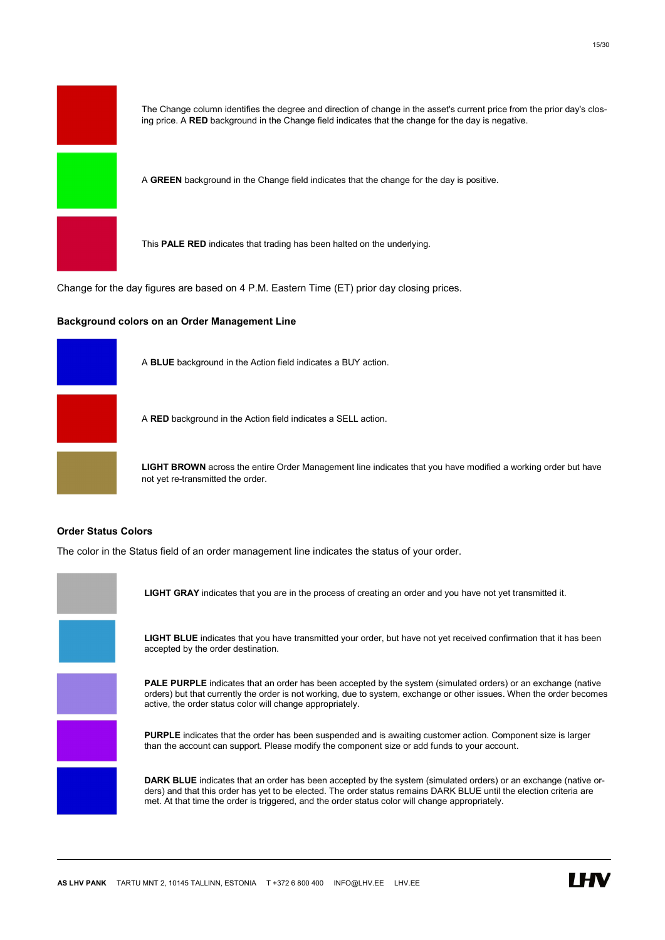

The Change column identifies the degree and direction of change in the asset's current price from the prior day's closing price. A RED background in the Change field indicates that the change for the day is negative.

A GREEN background in the Change field indicates that the change for the day is positive.

This PALE RED indicates that trading has been halted on the underlying.

Change for the day figures are based on 4 P.M. Eastern Time (ET) prior day closing prices.

#### Background colors on an Order Management Line



A BLUE background in the Action field indicates a BUY action.

A RED background in the Action field indicates a SELL action.

LIGHT BROWN across the entire Order Management line indicates that you have modified a working order but have not yet re-transmitted the order.

# Order Status Colors

The color in the Status field of an order management line indicates the status of your order.

LIGHT GRAY indicates that you are in the process of creating an order and you have not yet transmitted it. LIGHT BLUE indicates that you have transmitted your order, but have not yet received confirmation that it has been accepted by the order destination. PALE PURPLE indicates that an order has been accepted by the system (simulated orders) or an exchange (native orders) but that currently the order is not working, due to system, exchange or other issues. When the order becomes active, the order status color will change appropriately. PURPLE indicates that the order has been suspended and is awaiting customer action. Component size is larger than the account can support. Please modify the component size or add funds to your account. DARK BLUE indicates that an order has been accepted by the system (simulated orders) or an exchange (native orders) and that this order has yet to be elected. The order status remains DARK BLUE until the election criteria are met. At that time the order is triggered, and the order status color will change appropriately.

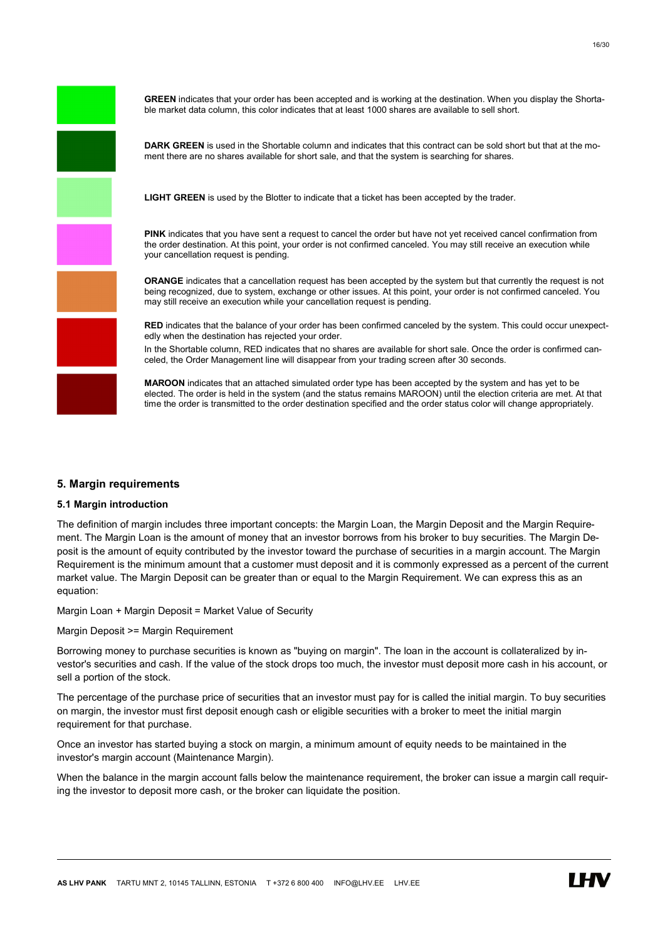

# 5. Margin requirements

# 5.1 Margin introduction

The definition of margin includes three important concepts: the Margin Loan, the Margin Deposit and the Margin Requirement. The Margin Loan is the amount of money that an investor borrows from his broker to buy securities. The Margin Deposit is the amount of equity contributed by the investor toward the purchase of securities in a margin account. The Margin Requirement is the minimum amount that a customer must deposit and it is commonly expressed as a percent of the current market value. The Margin Deposit can be greater than or equal to the Margin Requirement. We can express this as an equation:

Margin Loan + Margin Deposit = Market Value of Security

Margin Deposit >= Margin Requirement

Borrowing money to purchase securities is known as "buying on margin". The loan in the account is collateralized by investor's securities and cash. If the value of the stock drops too much, the investor must deposit more cash in his account, or sell a portion of the stock.

The percentage of the purchase price of securities that an investor must pay for is called the initial margin. To buy securities on margin, the investor must first deposit enough cash or eligible securities with a broker to meet the initial margin requirement for that purchase.

Once an investor has started buying a stock on margin, a minimum amount of equity needs to be maintained in the investor's margin account (Maintenance Margin).

When the balance in the margin account falls below the maintenance requirement, the broker can issue a margin call requiring the investor to deposit more cash, or the broker can liquidate the position.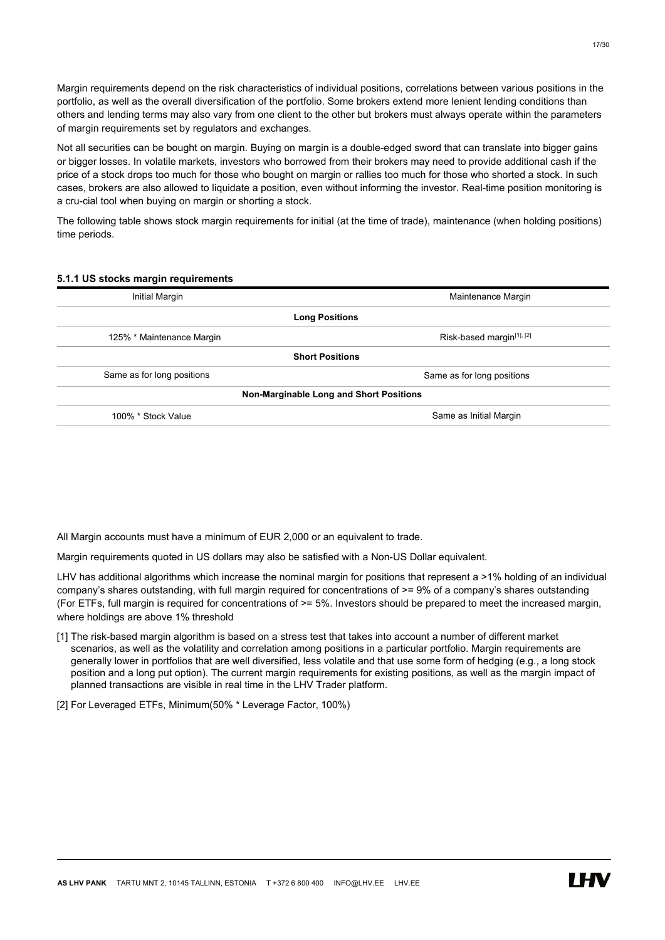Margin requirements depend on the risk characteristics of individual positions, correlations between various positions in the portfolio, as well as the overall diversification of the portfolio. Some brokers extend more lenient lending conditions than others and lending terms may also vary from one client to the other but brokers must always operate within the parameters of margin requirements set by regulators and exchanges.

Not all securities can be bought on margin. Buying on margin is a double-edged sword that can translate into bigger gains or bigger losses. In volatile markets, investors who borrowed from their brokers may need to provide additional cash if the price of a stock drops too much for those who bought on margin or rallies too much for those who shorted a stock. In such cases, brokers are also allowed to liquidate a position, even without informing the investor. Real-time position monitoring is a cru-cial tool when buying on margin or shorting a stock.

The following table shows stock margin requirements for initial (at the time of trade), maintenance (when holding positions) time periods.

#### 5.1.1 US stocks margin requirements

| Initial Margin                               | Maintenance Margin         |  |  |
|----------------------------------------------|----------------------------|--|--|
| <b>Long Positions</b>                        |                            |  |  |
| 125% * Maintenance Margin                    | Risk-based margin[1], [2]  |  |  |
| <b>Short Positions</b>                       |                            |  |  |
| Same as for long positions                   | Same as for long positions |  |  |
| Non-Marginable Long and Short Positions      |                            |  |  |
| Same as Initial Margin<br>100% * Stock Value |                            |  |  |

All Margin accounts must have a minimum of EUR 2,000 or an equivalent to trade.

Margin requirements quoted in US dollars may also be satisfied with a Non-US Dollar equivalent.

LHV has additional algorithms which increase the nominal margin for positions that represent a >1% holding of an individual company's shares outstanding, with full margin required for concentrations of >= 9% of a company's shares outstanding (For ETFs, full margin is required for concentrations of >= 5%. Investors should be prepared to meet the increased margin, where holdings are above 1% threshold

- [1] The risk-based margin algorithm is based on a stress test that takes into account a number of different market scenarios, as well as the volatility and correlation among positions in a particular portfolio. Margin requirements are generally lower in portfolios that are well diversified, less volatile and that use some form of hedging (e.g., a long stock position and a long put option). The current margin requirements for existing positions, as well as the margin impact of planned transactions are visible in real time in the LHV Trader platform.
- [2] For Leveraged ETFs, Minimum(50% \* Leverage Factor, 100%)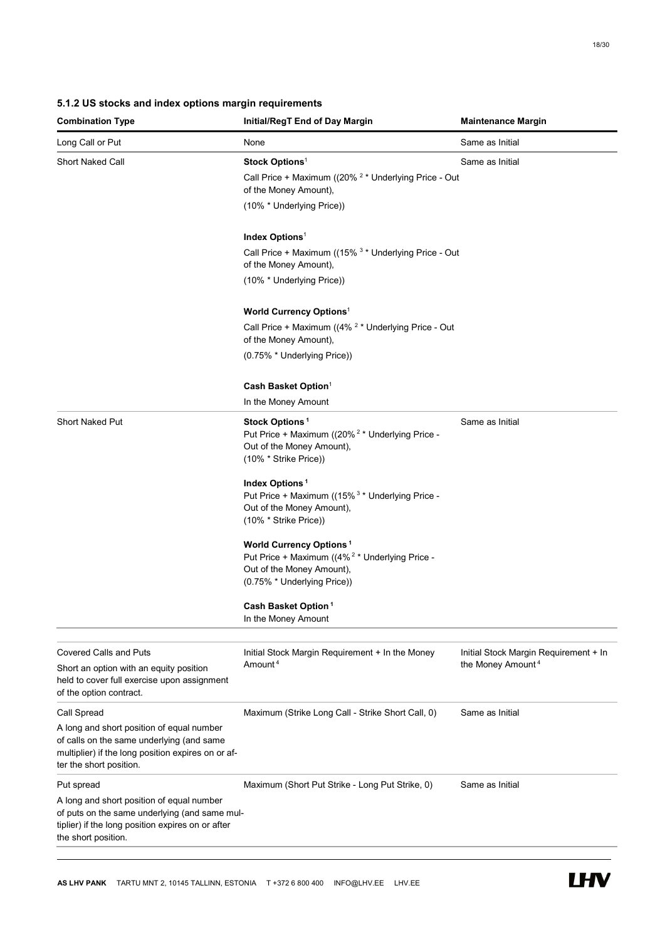# 5.1.2 US stocks and index options margin requirements

| <b>Combination Type</b>                                                                                                                                                 | Initial/RegT End of Day Margin                                                                                                                                      | <b>Maintenance Margin</b>             |
|-------------------------------------------------------------------------------------------------------------------------------------------------------------------------|---------------------------------------------------------------------------------------------------------------------------------------------------------------------|---------------------------------------|
| Long Call or Put                                                                                                                                                        | None                                                                                                                                                                | Same as Initial                       |
| <b>Short Naked Call</b>                                                                                                                                                 | Stock Options <sup>1</sup>                                                                                                                                          | Same as Initial                       |
|                                                                                                                                                                         | Call Price + Maximum ((20% <sup>2</sup> * Underlying Price - Out<br>of the Money Amount),                                                                           |                                       |
|                                                                                                                                                                         | (10% * Underlying Price))                                                                                                                                           |                                       |
|                                                                                                                                                                         | Index Options <sup>1</sup>                                                                                                                                          |                                       |
|                                                                                                                                                                         | Call Price + Maximum ((15% <sup>3</sup> * Underlying Price - Out<br>of the Money Amount),                                                                           |                                       |
|                                                                                                                                                                         | (10% * Underlying Price))                                                                                                                                           |                                       |
|                                                                                                                                                                         | <b>World Currency Options1</b>                                                                                                                                      |                                       |
|                                                                                                                                                                         | Call Price + Maximum ((4% <sup>2</sup> * Underlying Price - Out<br>of the Money Amount),                                                                            |                                       |
|                                                                                                                                                                         | (0.75% * Underlying Price))                                                                                                                                         |                                       |
|                                                                                                                                                                         | Cash Basket Option <sup>1</sup>                                                                                                                                     |                                       |
|                                                                                                                                                                         | In the Money Amount                                                                                                                                                 |                                       |
| <b>Short Naked Put</b>                                                                                                                                                  | Stock Options <sup>1</sup><br>Put Price + Maximum ((20% <sup>2</sup> * Underlying Price -<br>Out of the Money Amount),<br>(10% * Strike Price))                     | Same as Initial                       |
|                                                                                                                                                                         | Index Options <sup>1</sup><br>Put Price + Maximum ((15% <sup>3</sup> * Underlying Price -<br>Out of the Money Amount),<br>(10% * Strike Price))                     |                                       |
|                                                                                                                                                                         | <b>World Currency Options<sup>1</sup></b><br>Put Price + Maximum ((4% <sup>2</sup> * Underlying Price -<br>Out of the Money Amount),<br>(0.75% * Underlying Price)) |                                       |
|                                                                                                                                                                         | Cash Basket Option <sup>1</sup><br>In the Money Amount                                                                                                              |                                       |
| <b>Covered Calls and Puts</b>                                                                                                                                           | Initial Stock Margin Requirement + In the Money                                                                                                                     | Initial Stock Margin Requirement + In |
| Short an option with an equity position<br>held to cover full exercise upon assignment<br>of the option contract.                                                       | Amount <sup>4</sup>                                                                                                                                                 | the Money Amount <sup>4</sup>         |
| Call Spread                                                                                                                                                             | Maximum (Strike Long Call - Strike Short Call, 0)                                                                                                                   | Same as Initial                       |
| A long and short position of equal number<br>of calls on the same underlying (and same<br>multiplier) if the long position expires on or af-<br>ter the short position. |                                                                                                                                                                     |                                       |
| Put spread                                                                                                                                                              | Maximum (Short Put Strike - Long Put Strike, 0)                                                                                                                     | Same as Initial                       |
| A long and short position of equal number<br>of puts on the same underlying (and same mul-<br>tiplier) if the long position expires on or after<br>the short position.  |                                                                                                                                                                     |                                       |

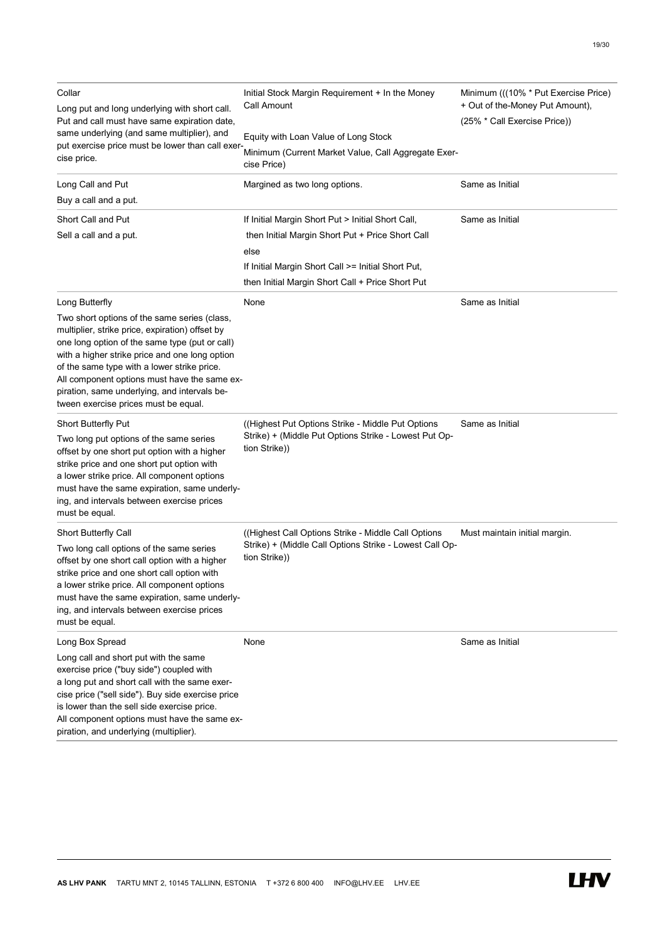| Collar<br>Long put and long underlying with short call.<br>Put and call must have same expiration date,<br>same underlying (and same multiplier), and<br>put exercise price must be lower than call exer-<br>cise price.                                                                                                                                                                                     | Initial Stock Margin Requirement + In the Money<br>Call Amount<br>Equity with Loan Value of Long Stock<br>Minimum (Current Market Value, Call Aggregate Exer- | Minimum (((10% * Put Exercise Price)<br>+ Out of the-Money Put Amount),<br>(25% * Call Exercise Price)) |
|--------------------------------------------------------------------------------------------------------------------------------------------------------------------------------------------------------------------------------------------------------------------------------------------------------------------------------------------------------------------------------------------------------------|---------------------------------------------------------------------------------------------------------------------------------------------------------------|---------------------------------------------------------------------------------------------------------|
|                                                                                                                                                                                                                                                                                                                                                                                                              | cise Price)                                                                                                                                                   |                                                                                                         |
| Long Call and Put                                                                                                                                                                                                                                                                                                                                                                                            | Margined as two long options.                                                                                                                                 | Same as Initial                                                                                         |
| Buy a call and a put.                                                                                                                                                                                                                                                                                                                                                                                        |                                                                                                                                                               |                                                                                                         |
| Short Call and Put                                                                                                                                                                                                                                                                                                                                                                                           | If Initial Margin Short Put > Initial Short Call,                                                                                                             | Same as Initial                                                                                         |
| Sell a call and a put.                                                                                                                                                                                                                                                                                                                                                                                       | then Initial Margin Short Put + Price Short Call<br>else                                                                                                      |                                                                                                         |
|                                                                                                                                                                                                                                                                                                                                                                                                              | If Initial Margin Short Call >= Initial Short Put,                                                                                                            |                                                                                                         |
|                                                                                                                                                                                                                                                                                                                                                                                                              | then Initial Margin Short Call + Price Short Put                                                                                                              |                                                                                                         |
|                                                                                                                                                                                                                                                                                                                                                                                                              |                                                                                                                                                               |                                                                                                         |
| Long Butterfly<br>Two short options of the same series (class,<br>multiplier, strike price, expiration) offset by<br>one long option of the same type (put or call)<br>with a higher strike price and one long option<br>of the same type with a lower strike price.<br>All component options must have the same ex-<br>piration, same underlying, and intervals be-<br>tween exercise prices must be equal. | None                                                                                                                                                          | Same as Initial                                                                                         |
| Short Butterfly Put<br>Two long put options of the same series<br>offset by one short put option with a higher<br>strike price and one short put option with<br>a lower strike price. All component options<br>must have the same expiration, same underly-<br>ing, and intervals between exercise prices<br>must be equal.                                                                                  | (Highest Put Options Strike - Middle Put Options)<br>Strike) + (Middle Put Options Strike - Lowest Put Op-<br>tion Strike))                                   | Same as Initial                                                                                         |
| <b>Short Butterfly Call</b>                                                                                                                                                                                                                                                                                                                                                                                  | (Highest Call Options Strike - Middle Call Options                                                                                                            | Must maintain initial margin.                                                                           |
| Two long call options of the same series<br>offset by one short call option with a higher<br>strike price and one short call option with<br>a lower strike price. All component options<br>must have the same expiration, same underly-<br>ing, and intervals between exercise prices<br>must be equal.                                                                                                      | Strike) + (Middle Call Options Strike - Lowest Call Op-<br>tion Strike))                                                                                      |                                                                                                         |
| Long Box Spread                                                                                                                                                                                                                                                                                                                                                                                              | None                                                                                                                                                          | Same as Initial                                                                                         |
| Long call and short put with the same<br>exercise price ("buy side") coupled with<br>a long put and short call with the same exer-<br>cise price ("sell side"). Buy side exercise price<br>is lower than the sell side exercise price.<br>All component options must have the same ex-<br>piration, and underlying (multiplier).                                                                             |                                                                                                                                                               |                                                                                                         |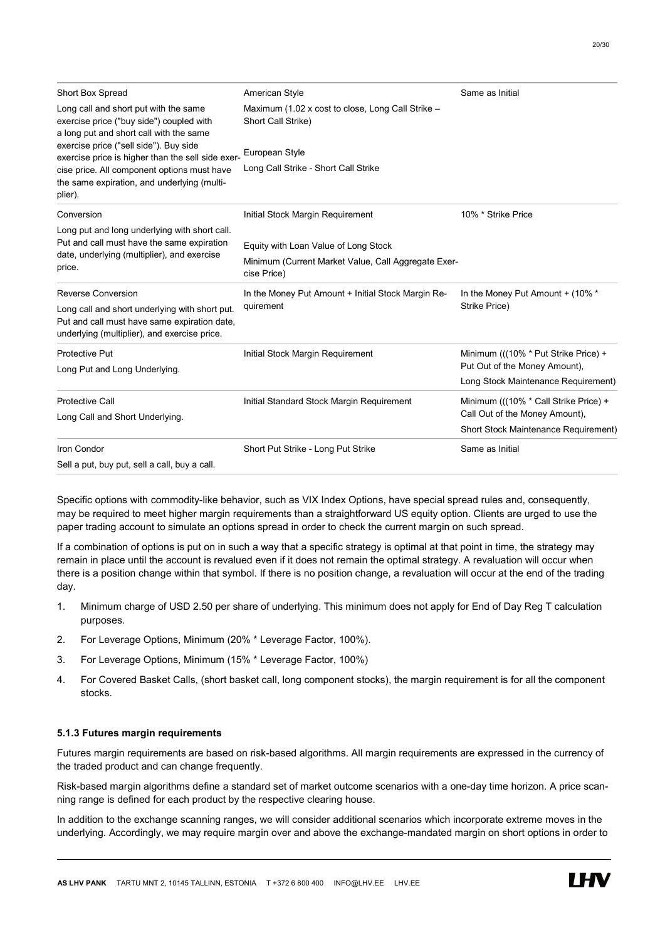| Short Box Spread                                                                                                                                     | American Style                                                                                             | Same as Initial                             |  |
|------------------------------------------------------------------------------------------------------------------------------------------------------|------------------------------------------------------------------------------------------------------------|---------------------------------------------|--|
| Long call and short put with the same<br>exercise price ("buy side") coupled with<br>a long put and short call with the same                         | Maximum (1.02 x cost to close, Long Call Strike -<br>Short Call Strike)                                    |                                             |  |
| exercise price ("sell side"). Buy side<br>exercise price is higher than the sell side exer-                                                          | European Style                                                                                             |                                             |  |
| cise price. All component options must have<br>the same expiration, and underlying (multi-<br>plier).                                                | Long Call Strike - Short Call Strike                                                                       |                                             |  |
| Conversion                                                                                                                                           | Initial Stock Margin Requirement                                                                           | 10% * Strike Price                          |  |
| Long put and long underlying with short call.<br>Put and call must have the same expiration<br>date, underlying (multiplier), and exercise<br>price. | Equity with Loan Value of Long Stock<br>Minimum (Current Market Value, Call Aggregate Exer-<br>cise Price) |                                             |  |
| <b>Reverse Conversion</b>                                                                                                                            | In the Money Put Amount + Initial Stock Margin Re-                                                         | In the Money Put Amount + (10% *            |  |
| Long call and short underlying with short put.<br>Put and call must have same expiration date,<br>underlying (multiplier), and exercise price.       | quirement                                                                                                  | Strike Price)                               |  |
| Protective Put                                                                                                                                       | Initial Stock Margin Requirement                                                                           | Minimum (((10% * Put Strike Price) +        |  |
| Long Put and Long Underlying.                                                                                                                        |                                                                                                            | Put Out of the Money Amount),               |  |
|                                                                                                                                                      |                                                                                                            | Long Stock Maintenance Requirement)         |  |
| <b>Protective Call</b>                                                                                                                               | Initial Standard Stock Margin Requirement                                                                  | Minimum (((10% * Call Strike Price) +       |  |
| Long Call and Short Underlying.                                                                                                                      |                                                                                                            | Call Out of the Money Amount),              |  |
|                                                                                                                                                      |                                                                                                            | <b>Short Stock Maintenance Requirement)</b> |  |
| Iron Condor                                                                                                                                          | Short Put Strike - Long Put Strike                                                                         | Same as Initial                             |  |
| Sell a put, buy put, sell a call, buy a call.                                                                                                        |                                                                                                            |                                             |  |

Specific options with commodity-like behavior, such as VIX Index Options, have special spread rules and, consequently, may be required to meet higher margin requirements than a straightforward US equity option. Clients are urged to use the paper trading account to simulate an options spread in order to check the current margin on such spread.

If a combination of options is put on in such a way that a specific strategy is optimal at that point in time, the strategy may remain in place until the account is revalued even if it does not remain the optimal strategy. A revaluation will occur when there is a position change within that symbol. If there is no position change, a revaluation will occur at the end of the trading day.

- 1. Minimum charge of USD 2.50 per share of underlying. This minimum does not apply for End of Day Reg T calculation purposes.
- 2. For Leverage Options, Minimum (20% \* Leverage Factor, 100%).
- 3. For Leverage Options, Minimum (15% \* Leverage Factor, 100%)
- 4. For Covered Basket Calls, (short basket call, long component stocks), the margin requirement is for all the component stocks.

# 5.1.3 Futures margin requirements

Futures margin requirements are based on risk-based algorithms. All margin requirements are expressed in the currency of the traded product and can change frequently.

Risk-based margin algorithms define a standard set of market outcome scenarios with a one-day time horizon. A price scanning range is defined for each product by the respective clearing house.

In addition to the exchange scanning ranges, we will consider additional scenarios which incorporate extreme moves in the underlying. Accordingly, we may require margin over and above the exchange-mandated margin on short options in order to

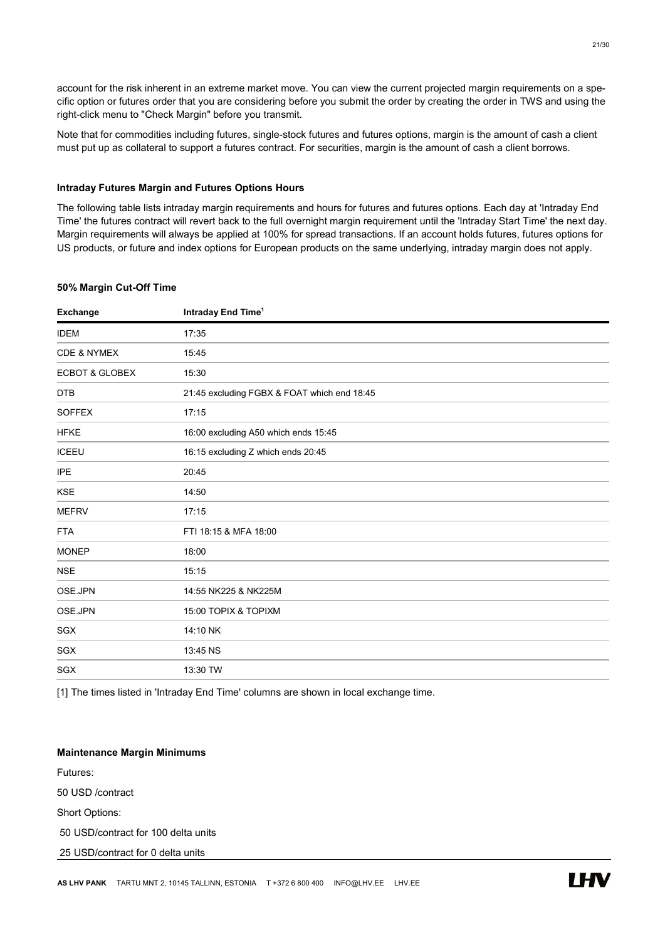account for the risk inherent in an extreme market move. You can view the current projected margin requirements on a specific option or futures order that you are considering before you submit the order by creating the order in TWS and using the right-click menu to "Check Margin" before you transmit.

Note that for commodities including futures, single-stock futures and futures options, margin is the amount of cash a client must put up as collateral to support a futures contract. For securities, margin is the amount of cash a client borrows.

#### Intraday Futures Margin and Futures Options Hours

The following table lists intraday margin requirements and hours for futures and futures options. Each day at 'Intraday End Time' the futures contract will revert back to the full overnight margin requirement until the 'Intraday Start Time' the next day. Margin requirements will always be applied at 100% for spread transactions. If an account holds futures, futures options for US products, or future and index options for European products on the same underlying, intraday margin does not apply.

# 50% Margin Cut-Off Time

| <b>Exchange</b>           | Intraday End Time <sup>1</sup>              |
|---------------------------|---------------------------------------------|
| <b>IDEM</b>               | 17:35                                       |
| CDE & NYMEX               | 15:45                                       |
| <b>ECBOT &amp; GLOBEX</b> | 15:30                                       |
| <b>DTB</b>                | 21:45 excluding FGBX & FOAT which end 18:45 |
| <b>SOFFEX</b>             | 17:15                                       |
| <b>HFKE</b>               | 16:00 excluding A50 which ends 15:45        |
| <b>ICEEU</b>              | 16:15 excluding Z which ends 20:45          |
| <b>IPE</b>                | 20:45                                       |
| <b>KSE</b>                | 14:50                                       |
| <b>MEFRV</b>              | 17:15                                       |
| <b>FTA</b>                | FTI 18:15 & MFA 18:00                       |
| <b>MONEP</b>              | 18:00                                       |
| <b>NSE</b>                | 15:15                                       |
| OSE.JPN                   | 14:55 NK225 & NK225M                        |
| OSE.JPN                   | 15:00 TOPIX & TOPIXM                        |
| SGX                       | 14:10 NK                                    |
| SGX                       | 13:45 NS                                    |
| SGX                       | 13:30 TW                                    |

[1] The times listed in 'Intraday End Time' columns are shown in local exchange time.

#### Maintenance Margin Minimums

Futures:

50 USD /contract

Short Options:

50 USD/contract for 100 delta units

25 USD/contract for 0 delta units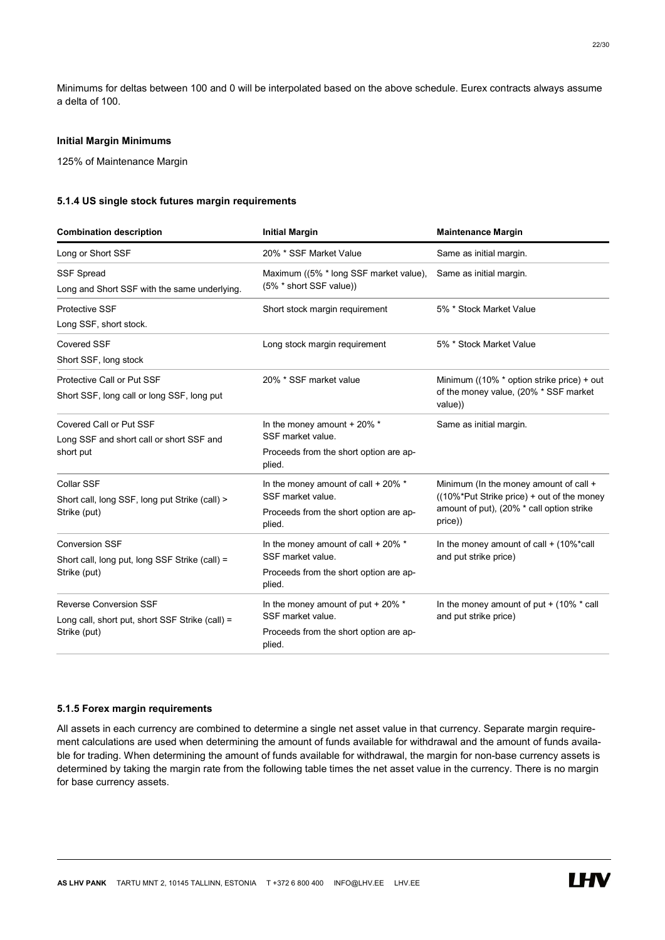Minimums for deltas between 100 and 0 will be interpolated based on the above schedule. Eurex contracts always assume a delta of 100.

# Initial Margin Minimums

125% of Maintenance Margin

# 5.1.4 US single stock futures margin requirements

| <b>Combination description</b>                                                                   | <b>Initial Margin</b>                                                                                        | <b>Maintenance Margin</b>                                                                                                                    |  |
|--------------------------------------------------------------------------------------------------|--------------------------------------------------------------------------------------------------------------|----------------------------------------------------------------------------------------------------------------------------------------------|--|
| Long or Short SSF                                                                                | 20% * SSF Market Value                                                                                       | Same as initial margin.                                                                                                                      |  |
| SSF Spread<br>Long and Short SSF with the same underlying.                                       | Maximum ((5% * long SSF market value),<br>(5% * short SSF value))                                            | Same as initial margin.                                                                                                                      |  |
| Protective SSF<br>Long SSF, short stock.                                                         | Short stock margin requirement                                                                               | 5% * Stock Market Value                                                                                                                      |  |
| <b>Covered SSF</b><br>Short SSF, long stock                                                      | Long stock margin requirement                                                                                | 5% * Stock Market Value                                                                                                                      |  |
| Protective Call or Put SSF<br>Short SSF, long call or long SSF, long put                         | 20% * SSF market value                                                                                       | Minimum ((10% * option strike price) + out<br>of the money value, (20% * SSF market<br>value))                                               |  |
| Covered Call or Put SSF<br>Long SSF and short call or short SSF and<br>short put                 | In the money amount + 20% *<br>SSF market value.<br>Proceeds from the short option are ap-<br>plied.         | Same as initial margin.                                                                                                                      |  |
| Collar SSF<br>Short call, long SSF, long put Strike (call) ><br>Strike (put)                     | In the money amount of call + 20% *<br>SSF market value.<br>Proceeds from the short option are ap-<br>plied. | Minimum (In the money amount of call +<br>((10%*Put Strike price) + out of the money<br>amount of put), (20% * call option strike<br>price)) |  |
| <b>Conversion SSF</b><br>Short call, long put, long SSF Strike (call) =<br>Strike (put)          | In the money amount of call + 20% *<br>SSF market value.<br>Proceeds from the short option are ap-<br>plied. | In the money amount of call $+$ (10%*call<br>and put strike price)                                                                           |  |
| <b>Reverse Conversion SSF</b><br>Long call, short put, short SSF Strike (call) =<br>Strike (put) | In the money amount of put + 20% *<br>SSF market value.<br>Proceeds from the short option are ap-<br>plied.  | In the money amount of put $+$ (10% $*$ call<br>and put strike price)                                                                        |  |

# 5.1.5 Forex margin requirements

All assets in each currency are combined to determine a single net asset value in that currency. Separate margin requirement calculations are used when determining the amount of funds available for withdrawal and the amount of funds available for trading. When determining the amount of funds available for withdrawal, the margin for non-base currency assets is determined by taking the margin rate from the following table times the net asset value in the currency. There is no margin for base currency assets.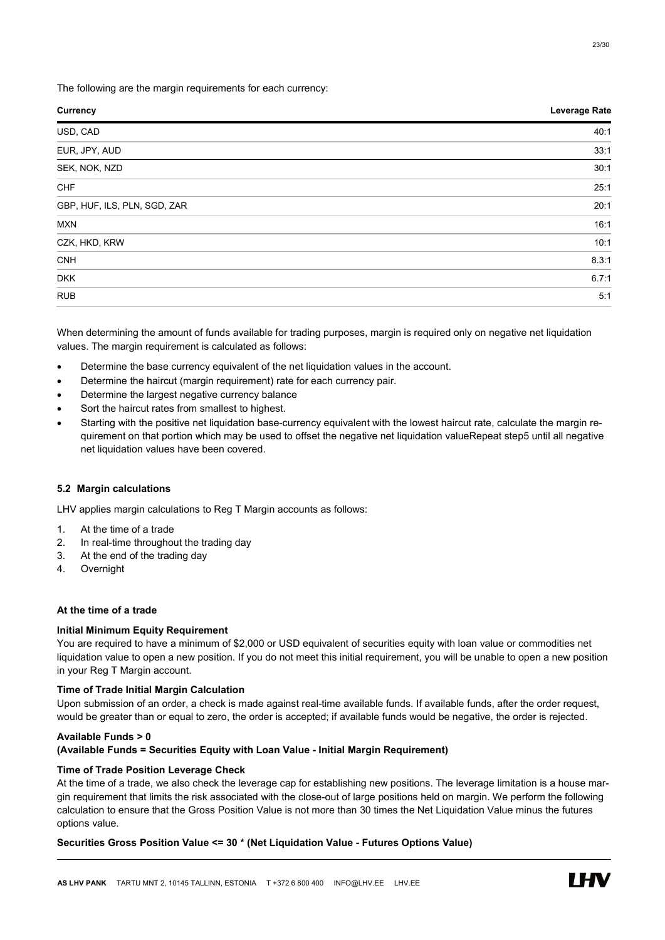The following are the margin requirements for each currency:

| <b>Currency</b>              | Leverage Rate |
|------------------------------|---------------|
| USD, CAD                     | 40:1          |
| EUR, JPY, AUD                | 33:1          |
| SEK, NOK, NZD                | 30:1          |
| CHF                          | 25:1          |
| GBP, HUF, ILS, PLN, SGD, ZAR | 20:1          |
| <b>MXN</b>                   | 16:1          |
| CZK, HKD, KRW                | 10:1          |
| <b>CNH</b>                   | 8.3:1         |
| <b>DKK</b>                   | 6.7:1         |
| <b>RUB</b>                   | 5:1           |
|                              |               |

When determining the amount of funds available for trading purposes, margin is required only on negative net liquidation values. The margin requirement is calculated as follows:

- Determine the base currency equivalent of the net liquidation values in the account.
- Determine the haircut (margin requirement) rate for each currency pair.
- Determine the largest negative currency balance
- Sort the haircut rates from smallest to highest.
- Starting with the positive net liquidation base-currency equivalent with the lowest haircut rate, calculate the margin requirement on that portion which may be used to offset the negative net liquidation valueRepeat step5 until all negative net liquidation values have been covered.

# 5.2 Margin calculations

LHV applies margin calculations to Reg T Margin accounts as follows:

- 1. At the time of a trade
- 2. In real-time throughout the trading day
- 3. At the end of the trading day
- 4. Overnight

# At the time of a trade

# Initial Minimum Equity Requirement

You are required to have a minimum of \$2,000 or USD equivalent of securities equity with loan value or commodities net liquidation value to open a new position. If you do not meet this initial requirement, you will be unable to open a new position in your Reg T Margin account.

# Time of Trade Initial Margin Calculation

Upon submission of an order, a check is made against real-time available funds. If available funds, after the order request, would be greater than or equal to zero, the order is accepted; if available funds would be negative, the order is rejected.

# Available Funds > 0

# (Available Funds = Securities Equity with Loan Value - Initial Margin Requirement)

# Time of Trade Position Leverage Check

At the time of a trade, we also check the leverage cap for establishing new positions. The leverage limitation is a house margin requirement that limits the risk associated with the close-out of large positions held on margin. We perform the following calculation to ensure that the Gross Position Value is not more than 30 times the Net Liquidation Value minus the futures options value.

# Securities Gross Position Value <= 30 \* (Net Liquidation Value - Futures Options Value)

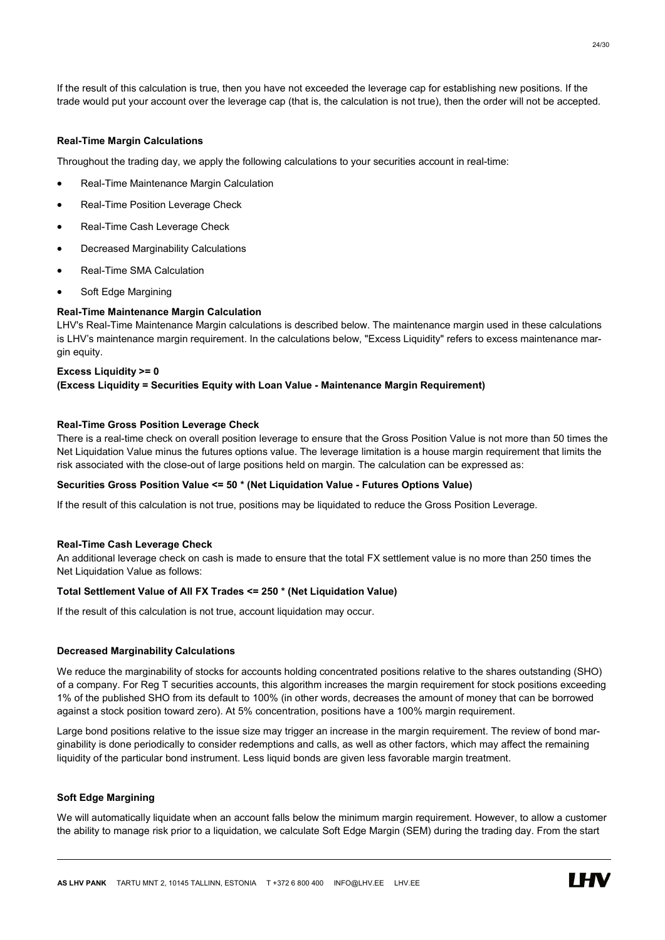If the result of this calculation is true, then you have not exceeded the leverage cap for establishing new positions. If the trade would put your account over the leverage cap (that is, the calculation is not true), then the order will not be accepted.

# Real-Time Margin Calculations

Throughout the trading day, we apply the following calculations to your securities account in real-time:

- Real-Time Maintenance Margin Calculation
- Real-Time Position Leverage Check
- Real-Time Cash Leverage Check
- Decreased Marginability Calculations
- Real-Time SMA Calculation
- Soft Edge Margining

#### Real-Time Maintenance Margin Calculation

LHV's Real-Time Maintenance Margin calculations is described below. The maintenance margin used in these calculations is LHV's maintenance margin requirement. In the calculations below, "Excess Liquidity" refers to excess maintenance margin equity.

# Excess Liquidity >= 0 (Excess Liquidity = Securities Equity with Loan Value - Maintenance Margin Requirement)

#### Real-Time Gross Position Leverage Check

There is a real-time check on overall position leverage to ensure that the Gross Position Value is not more than 50 times the Net Liquidation Value minus the futures options value. The leverage limitation is a house margin requirement that limits the risk associated with the close-out of large positions held on margin. The calculation can be expressed as:

# Securities Gross Position Value <= 50 \* (Net Liquidation Value - Futures Options Value)

If the result of this calculation is not true, positions may be liquidated to reduce the Gross Position Leverage.

#### Real-Time Cash Leverage Check

An additional leverage check on cash is made to ensure that the total FX settlement value is no more than 250 times the Net Liquidation Value as follows:

#### Total Settlement Value of All FX Trades <= 250 \* (Net Liquidation Value)

If the result of this calculation is not true, account liquidation may occur.

# Decreased Marginability Calculations

We reduce the marginability of stocks for accounts holding concentrated positions relative to the shares outstanding (SHO) of a company. For Reg T securities accounts, this algorithm increases the margin requirement for stock positions exceeding 1% of the published SHO from its default to 100% (in other words, decreases the amount of money that can be borrowed against a stock position toward zero). At 5% concentration, positions have a 100% margin requirement.

Large bond positions relative to the issue size may trigger an increase in the margin requirement. The review of bond marginability is done periodically to consider redemptions and calls, as well as other factors, which may affect the remaining liquidity of the particular bond instrument. Less liquid bonds are given less favorable margin treatment.

# Soft Edge Margining

We will automatically liquidate when an account falls below the minimum margin requirement. However, to allow a customer the ability to manage risk prior to a liquidation, we calculate Soft Edge Margin (SEM) during the trading day. From the start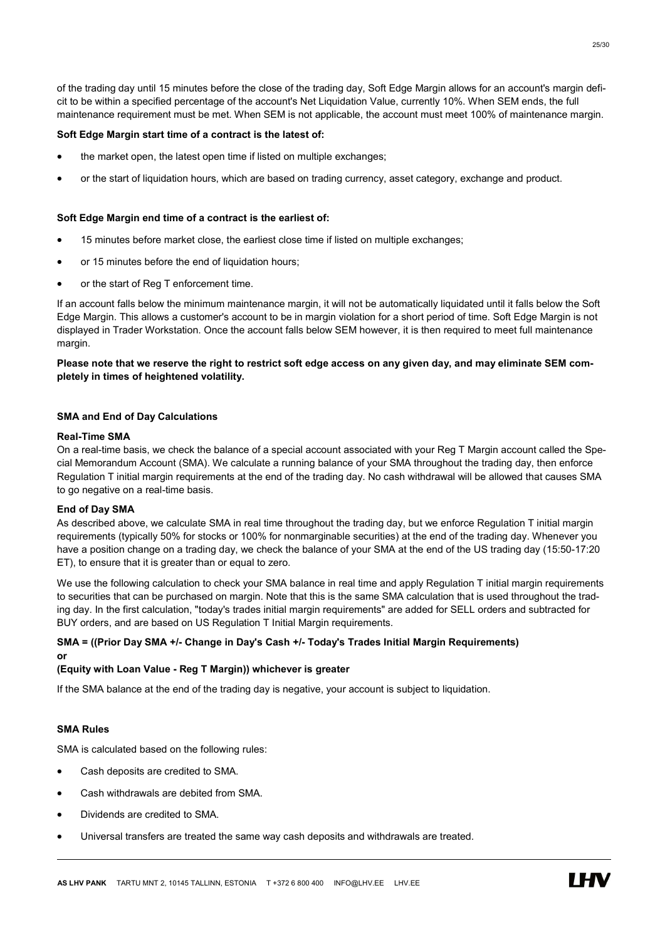of the trading day until 15 minutes before the close of the trading day, Soft Edge Margin allows for an account's margin deficit to be within a specified percentage of the account's Net Liquidation Value, currently 10%. When SEM ends, the full maintenance requirement must be met. When SEM is not applicable, the account must meet 100% of maintenance margin.

# Soft Edge Margin start time of a contract is the latest of:

- the market open, the latest open time if listed on multiple exchanges;
- or the start of liquidation hours, which are based on trading currency, asset category, exchange and product.

#### Soft Edge Margin end time of a contract is the earliest of:

- 15 minutes before market close, the earliest close time if listed on multiple exchanges;
- or 15 minutes before the end of liquidation hours;
- or the start of Reg T enforcement time.

If an account falls below the minimum maintenance margin, it will not be automatically liquidated until it falls below the Soft Edge Margin. This allows a customer's account to be in margin violation for a short period of time. Soft Edge Margin is not displayed in Trader Workstation. Once the account falls below SEM however, it is then required to meet full maintenance margin.

# Please note that we reserve the right to restrict soft edge access on any given day, and may eliminate SEM completely in times of heightened volatility.

# SMA and End of Day Calculations

# Real-Time SMA

On a real-time basis, we check the balance of a special account associated with your Reg T Margin account called the Special Memorandum Account (SMA). We calculate a running balance of your SMA throughout the trading day, then enforce Regulation T initial margin requirements at the end of the trading day. No cash withdrawal will be allowed that causes SMA to go negative on a real-time basis.

#### End of Day SMA

As described above, we calculate SMA in real time throughout the trading day, but we enforce Regulation T initial margin requirements (typically 50% for stocks or 100% for nonmarginable securities) at the end of the trading day. Whenever you have a position change on a trading day, we check the balance of your SMA at the end of the US trading day (15:50-17:20 ET), to ensure that it is greater than or equal to zero.

We use the following calculation to check your SMA balance in real time and apply Regulation T initial margin requirements to securities that can be purchased on margin. Note that this is the same SMA calculation that is used throughout the trading day. In the first calculation, "today's trades initial margin requirements" are added for SELL orders and subtracted for BUY orders, and are based on US Regulation T Initial Margin requirements.

#### SMA = ((Prior Day SMA +/- Change in Day's Cash +/- Today's Trades Initial Margin Requirements) or

# (Equity with Loan Value - Reg T Margin)) whichever is greater

If the SMA balance at the end of the trading day is negative, your account is subject to liquidation.

# SMA Rules

SMA is calculated based on the following rules:

- Cash deposits are credited to SMA.
- Cash withdrawals are debited from SMA.
- Dividends are credited to SMA.
- Universal transfers are treated the same way cash deposits and withdrawals are treated.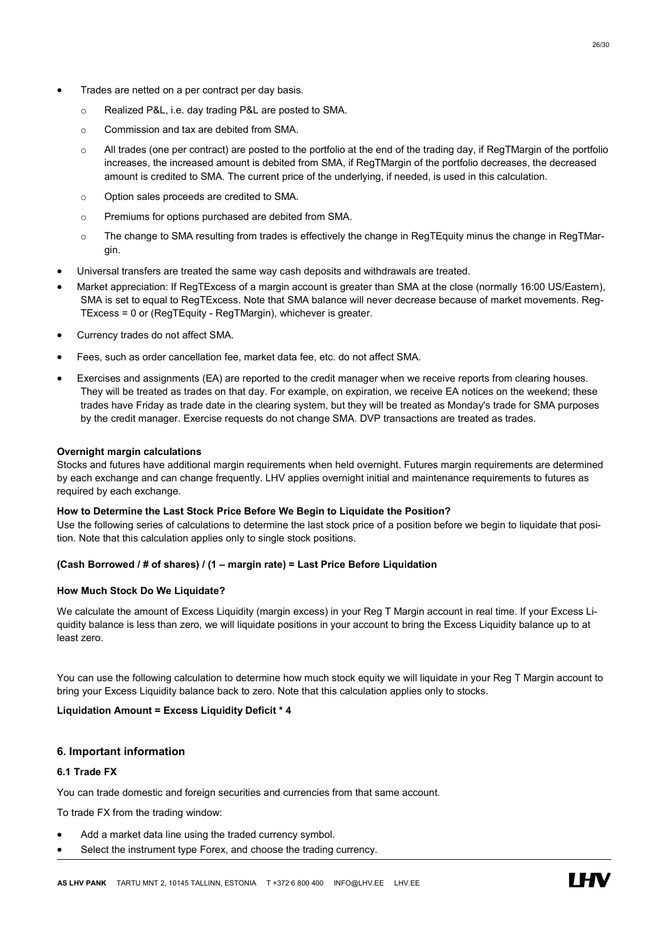- Trades are netted on a per contract per day basis.
	- o Realized P&L, i.e. day trading P&L are posted to SMA.
	- o Commission and tax are debited from SMA.
	- $\circ$  All trades (one per contract) are posted to the portfolio at the end of the trading day, if RegTMargin of the portfolio increases, the increased amount is debited from SMA, if RegTMargin of the portfolio decreases, the decreased amount is credited to SMA. The current price of the underlying, if needed, is used in this calculation.
	- o Option sales proceeds are credited to SMA.
	- o Premiums for options purchased are debited from SMA.
	- o The change to SMA resulting from trades is effectively the change in RegTEquity minus the change in RegTMargin.
- Universal transfers are treated the same way cash deposits and withdrawals are treated.
- Market appreciation: If RegTExcess of a margin account is greater than SMA at the close (normally 16:00 US/Eastern), SMA is set to equal to RegTExcess. Note that SMA balance will never decrease because of market movements. Reg-TExcess = 0 or (RegTEquity - RegTMargin), whichever is greater.
- Currency trades do not affect SMA.
- Fees, such as order cancellation fee, market data fee, etc. do not affect SMA.
- Exercises and assignments (EA) are reported to the credit manager when we receive reports from clearing houses. They will be treated as trades on that day. For example, on expiration, we receive EA notices on the weekend; these trades have Friday as trade date in the clearing system, but they will be treated as Monday's trade for SMA purposes by the credit manager. Exercise requests do not change SMA. DVP transactions are treated as trades.

# Overnight margin calculations

Stocks and futures have additional margin requirements when held overnight. Futures margin requirements are determined by each exchange and can change frequently. LHV applies overnight initial and maintenance requirements to futures as required by each exchange.

# How to Determine the Last Stock Price Before We Begin to Liquidate the Position?

Use the following series of calculations to determine the last stock price of a position before we begin to liquidate that position. Note that this calculation applies only to single stock positions.

# (Cash Borrowed / # of shares) / (1 – margin rate) = Last Price Before Liquidation

# How Much Stock Do We Liquidate?

We calculate the amount of Excess Liquidity (margin excess) in your Reg T Margin account in real time. If your Excess Liquidity balance is less than zero, we will liquidate positions in your account to bring the Excess Liquidity balance up to at least zero.

You can use the following calculation to determine how much stock equity we will liquidate in your Reg T Margin account to bring your Excess Liquidity balance back to zero. Note that this calculation applies only to stocks.

# Liquidation Amount = Excess Liquidity Deficit \* 4

# 6. Important information

# 6.1 Trade FX

You can trade domestic and foreign securities and currencies from that same account.

To trade FX from the trading window:

- Add a market data line using the traded currency symbol.
- Select the instrument type Forex, and choose the trading currency.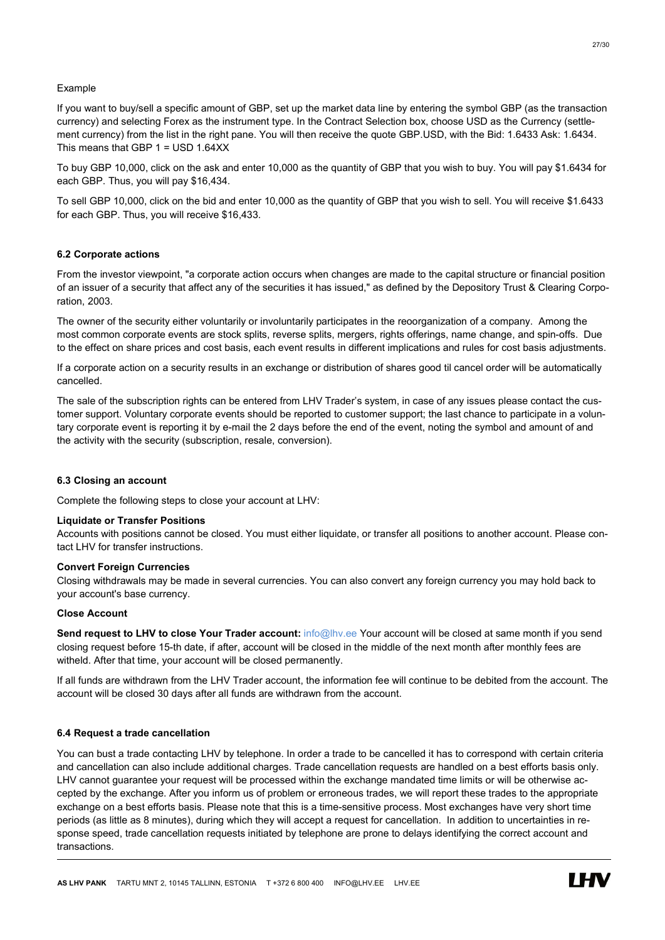# Example

If you want to buy/sell a specific amount of GBP, set up the market data line by entering the symbol GBP (as the transaction currency) and selecting Forex as the instrument type. In the Contract Selection box, choose USD as the Currency (settlement currency) from the list in the right pane. You will then receive the quote GBP.USD, with the Bid: 1.6433 Ask: 1.6434. This means that GBP 1 = USD 1.64XX

To buy GBP 10,000, click on the ask and enter 10,000 as the quantity of GBP that you wish to buy. You will pay \$1.6434 for each GBP. Thus, you will pay \$16,434.

To sell GBP 10,000, click on the bid and enter 10,000 as the quantity of GBP that you wish to sell. You will receive \$1.6433 for each GBP. Thus, you will receive \$16,433.

# 6.2 Corporate actions

From the investor viewpoint, "a corporate action occurs when changes are made to the capital structure or financial position of an issuer of a security that affect any of the securities it has issued," as defined by the Depository Trust & Clearing Corporation, 2003.

The owner of the security either voluntarily or involuntarily participates in the reoorganization of a company. Among the most common corporate events are stock splits, reverse splits, mergers, rights offerings, name change, and spin-offs. Due to the effect on share prices and cost basis, each event results in different implications and rules for cost basis adjustments.

If a corporate action on a security results in an exchange or distribution of shares good til cancel order will be automatically cancelled.

The sale of the subscription rights can be entered from LHV Trader's system, in case of any issues please contact the customer support. Voluntary corporate events should be reported to customer support; the last chance to participate in a voluntary corporate event is reporting it by e-mail the 2 days before the end of the event, noting the symbol and amount of and the activity with the security (subscription, resale, conversion).

# 6.3 Closing an account

Complete the following steps to close your account at LHV:

# Liquidate or Transfer Positions

Accounts with positions cannot be closed. You must either liquidate, or transfer all positions to another account. Please contact LHV for transfer instructions.

# Convert Foreign Currencies

Closing withdrawals may be made in several currencies. You can also convert any foreign currency you may hold back to your account's base currency.

#### Close Account

Send request to LHV to close Your Trader account: info@lhy.ee Your account will be closed at same month if you send closing request before 15-th date, if after, account will be closed in the middle of the next month after monthly fees are witheld. After that time, your account will be closed permanently.

If all funds are withdrawn from the LHV Trader account, the information fee will continue to be debited from the account. The account will be closed 30 days after all funds are withdrawn from the account.

# 6.4 Request a trade cancellation

You can bust a trade contacting LHV by telephone. In order a trade to be cancelled it has to correspond with certain criteria and cancellation can also include additional charges. Trade cancellation requests are handled on a best efforts basis only. LHV cannot guarantee your request will be processed within the exchange mandated time limits or will be otherwise accepted by the exchange. After you inform us of problem or erroneous trades, we will report these trades to the appropriate exchange on a best efforts basis. Please note that this is a time-sensitive process. Most exchanges have very short time periods (as little as 8 minutes), during which they will accept a request for cancellation. In addition to uncertainties in response speed, trade cancellation requests initiated by telephone are prone to delays identifying the correct account and transactions.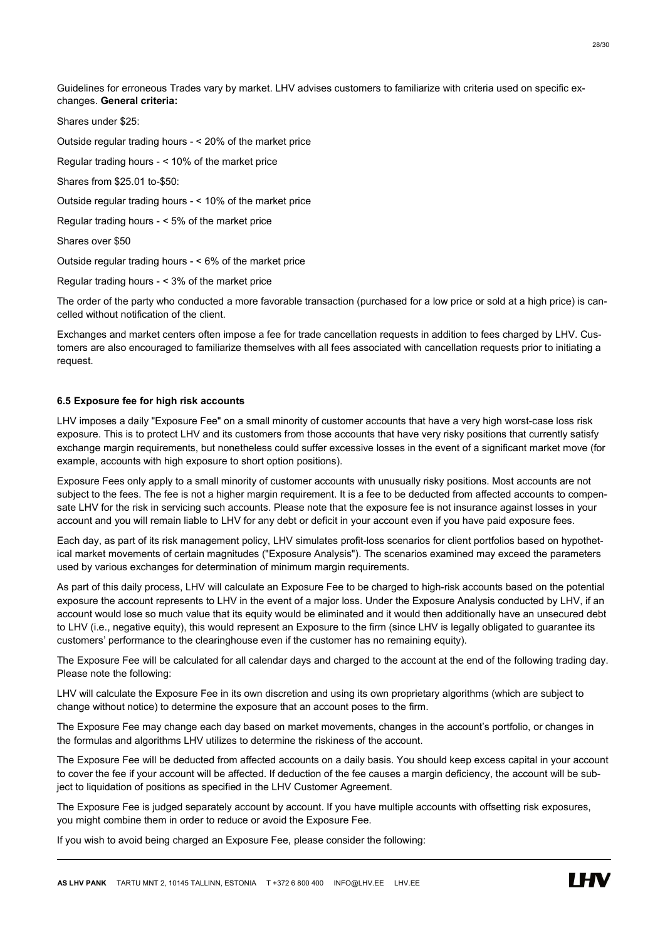Guidelines for erroneous Trades vary by market. LHV advises customers to familiarize with criteria used on specific exchanges. General criteria:

Shares under \$25: Outside regular trading hours - < 20% of the market price Regular trading hours - < 10% of the market price Shares from \$25.01 to-\$50: Outside regular trading hours - < 10% of the market price Regular trading hours - < 5% of the market price Shares over \$50 Outside regular trading hours - < 6% of the market price Regular trading hours - < 3% of the market price

The order of the party who conducted a more favorable transaction (purchased for a low price or sold at a high price) is cancelled without notification of the client.

Exchanges and market centers often impose a fee for trade cancellation requests in addition to fees charged by LHV. Customers are also encouraged to familiarize themselves with all fees associated with cancellation requests prior to initiating a request.

# 6.5 Exposure fee for high risk accounts

LHV imposes a daily "Exposure Fee" on a small minority of customer accounts that have a very high worst-case loss risk exposure. This is to protect LHV and its customers from those accounts that have very risky positions that currently satisfy exchange margin requirements, but nonetheless could suffer excessive losses in the event of a significant market move (for example, accounts with high exposure to short option positions).

Exposure Fees only apply to a small minority of customer accounts with unusually risky positions. Most accounts are not subject to the fees. The fee is not a higher margin requirement. It is a fee to be deducted from affected accounts to compensate LHV for the risk in servicing such accounts. Please note that the exposure fee is not insurance against losses in your account and you will remain liable to LHV for any debt or deficit in your account even if you have paid exposure fees.

Each day, as part of its risk management policy, LHV simulates profit-loss scenarios for client portfolios based on hypothetical market movements of certain magnitudes ("Exposure Analysis"). The scenarios examined may exceed the parameters used by various exchanges for determination of minimum margin requirements.

As part of this daily process, LHV will calculate an Exposure Fee to be charged to high-risk accounts based on the potential exposure the account represents to LHV in the event of a major loss. Under the Exposure Analysis conducted by LHV, if an account would lose so much value that its equity would be eliminated and it would then additionally have an unsecured debt to LHV (i.e., negative equity), this would represent an Exposure to the firm (since LHV is legally obligated to guarantee its customers' performance to the clearinghouse even if the customer has no remaining equity).

The Exposure Fee will be calculated for all calendar days and charged to the account at the end of the following trading day. Please note the following:

LHV will calculate the Exposure Fee in its own discretion and using its own proprietary algorithms (which are subject to change without notice) to determine the exposure that an account poses to the firm.

The Exposure Fee may change each day based on market movements, changes in the account's portfolio, or changes in the formulas and algorithms LHV utilizes to determine the riskiness of the account.

The Exposure Fee will be deducted from affected accounts on a daily basis. You should keep excess capital in your account to cover the fee if your account will be affected. If deduction of the fee causes a margin deficiency, the account will be subject to liquidation of positions as specified in the LHV Customer Agreement.

The Exposure Fee is judged separately account by account. If you have multiple accounts with offsetting risk exposures, you might combine them in order to reduce or avoid the Exposure Fee.

If you wish to avoid being charged an Exposure Fee, please consider the following: